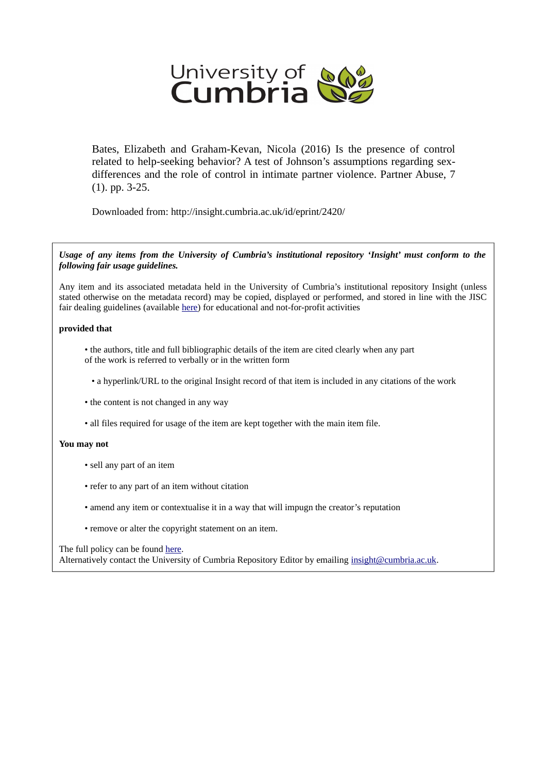

Bates, Elizabeth and Graham-Kevan, Nicola (2016) Is the presence of control related to help-seeking behavior? A test of Johnson's assumptions regarding sexdifferences and the role of control in intimate partner violence. Partner Abuse, 7 (1). pp. 3-25.

Downloaded from: http://insight.cumbria.ac.uk/id/eprint/2420/

*Usage of any items from the University of Cumbria's institutional repository 'Insight' must conform to the following fair usage guidelines.*

Any item and its associated metadata held in the University of Cumbria's institutional repository Insight (unless stated otherwise on the metadata record) may be copied, displayed or performed, and stored in line with the JISC fair dealing guidelines (available [here\)](http://www.ukoln.ac.uk/services/elib/papers/pa/fair/) for educational and not-for-profit activities

#### **provided that**

• the authors, title and full bibliographic details of the item are cited clearly when any part of the work is referred to verbally or in the written form

• a hyperlink/URL to the original Insight record of that item is included in any citations of the work

- the content is not changed in any way
- all files required for usage of the item are kept together with the main item file.

#### **You may not**

- sell any part of an item
- refer to any part of an item without citation
- amend any item or contextualise it in a way that will impugn the creator's reputation
- remove or alter the copyright statement on an item.

#### The full policy can be found [here.](http://insight.cumbria.ac.uk/legal.html#section5)

Alternatively contact the University of Cumbria Repository Editor by emailing [insight@cumbria.ac.uk.](mailto:insight@cumbria.ac.uk)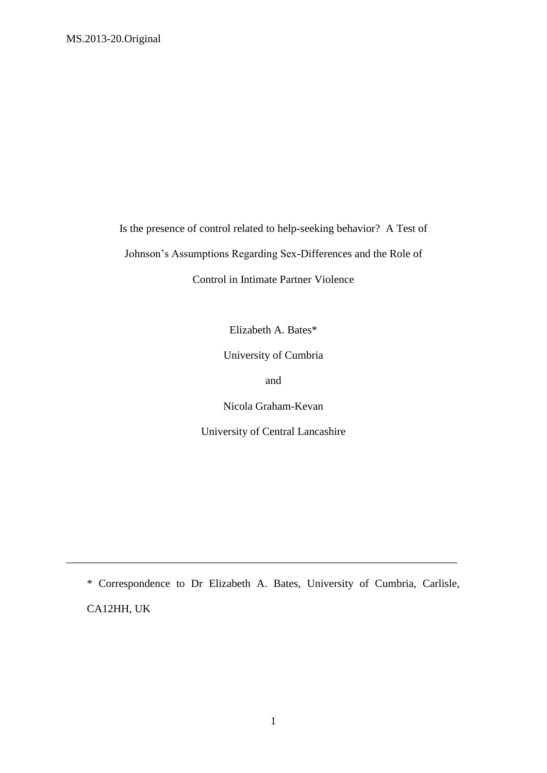Is the presence of control related to help-seeking behavior? A Test of Johnson's Assumptions Regarding Sex-Differences and the Role of

Control in Intimate Partner Violence

Elizabeth A. Bates\*

University of Cumbria

and

Nicola Graham-Kevan

University of Central Lancashire

\* Correspondence to Dr Elizabeth A. Bates, University of Cumbria, Carlisle, CA12HH, UK

\_\_\_\_\_\_\_\_\_\_\_\_\_\_\_\_\_\_\_\_\_\_\_\_\_\_\_\_\_\_\_\_\_\_\_\_\_\_\_\_\_\_\_\_\_\_\_\_\_\_\_\_\_\_\_\_\_\_\_\_\_\_\_\_\_\_\_\_\_\_\_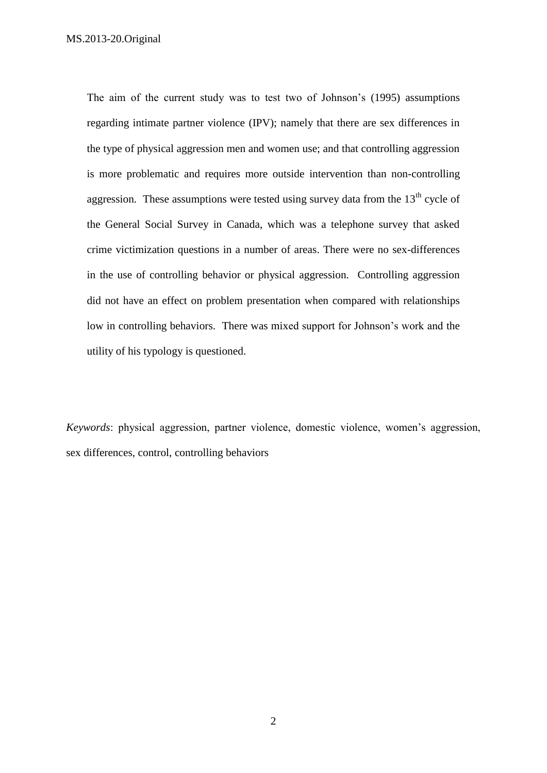The aim of the current study was to test two of Johnson's (1995) assumptions regarding intimate partner violence (IPV); namely that there are sex differences in the type of physical aggression men and women use; and that controlling aggression is more problematic and requires more outside intervention than non-controlling aggression. These assumptions were tested using survey data from the  $13<sup>th</sup>$  cycle of the General Social Survey in Canada, which was a telephone survey that asked crime victimization questions in a number of areas. There were no sex-differences in the use of controlling behavior or physical aggression. Controlling aggression did not have an effect on problem presentation when compared with relationships low in controlling behaviors. There was mixed support for Johnson's work and the utility of his typology is questioned.

*Keywords*: physical aggression, partner violence, domestic violence, women's aggression, sex differences, control, controlling behaviors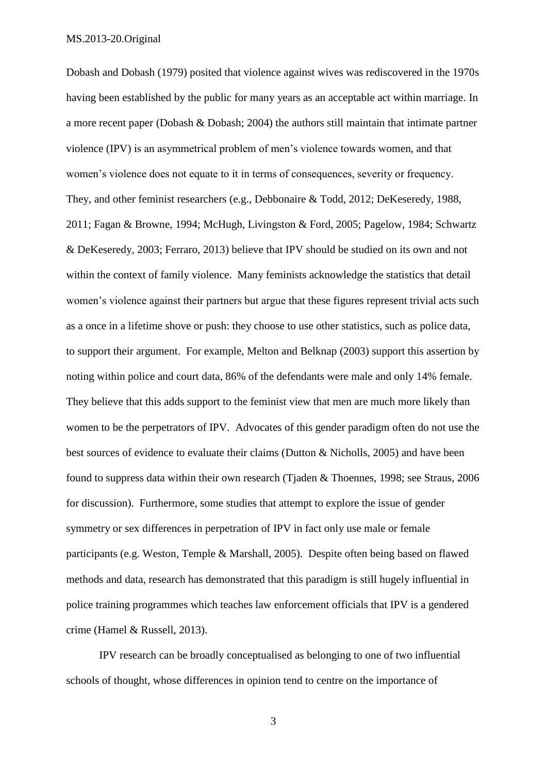Dobash and Dobash (1979) posited that violence against wives was rediscovered in the 1970s having been established by the public for many years as an acceptable act within marriage. In a more recent paper (Dobash & Dobash; 2004) the authors still maintain that intimate partner violence (IPV) is an asymmetrical problem of men's violence towards women, and that women's violence does not equate to it in terms of consequences, severity or frequency. They, and other feminist researchers (e.g., Debbonaire & Todd, 2012; DeKeseredy, 1988, 2011; Fagan & Browne, 1994; McHugh, Livingston & Ford, 2005; Pagelow, 1984; Schwartz & DeKeseredy, 2003; Ferraro, 2013) believe that IPV should be studied on its own and not within the context of family violence. Many feminists acknowledge the statistics that detail women's violence against their partners but argue that these figures represent trivial acts such as a once in a lifetime shove or push: they choose to use other statistics, such as police data, to support their argument. For example, Melton and Belknap (2003) support this assertion by noting within police and court data, 86% of the defendants were male and only 14% female. They believe that this adds support to the feminist view that men are much more likely than women to be the perpetrators of IPV. Advocates of this gender paradigm often do not use the best sources of evidence to evaluate their claims (Dutton & Nicholls, 2005) and have been found to suppress data within their own research (Tjaden & Thoennes, 1998; see Straus, 2006 for discussion). Furthermore, some studies that attempt to explore the issue of gender symmetry or sex differences in perpetration of IPV in fact only use male or female participants (e.g. Weston, Temple & Marshall, 2005). Despite often being based on flawed methods and data, research has demonstrated that this paradigm is still hugely influential in police training programmes which teaches law enforcement officials that IPV is a gendered crime (Hamel & Russell, 2013).

IPV research can be broadly conceptualised as belonging to one of two influential schools of thought, whose differences in opinion tend to centre on the importance of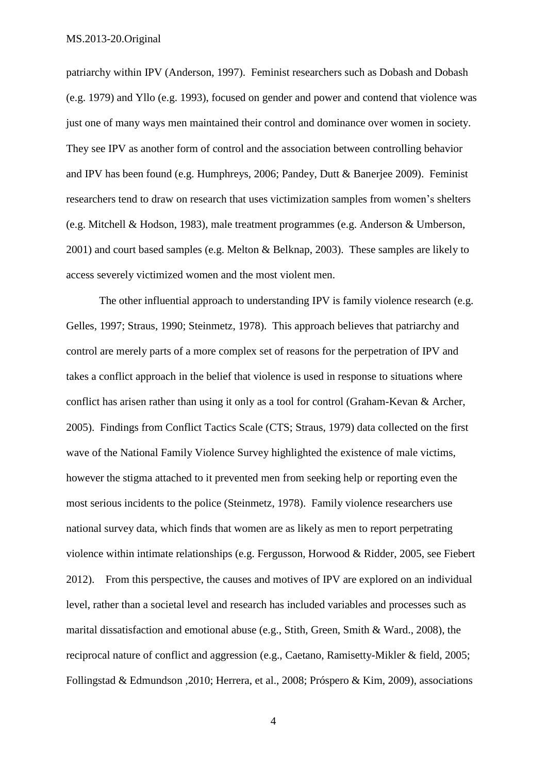patriarchy within IPV (Anderson, 1997). Feminist researchers such as Dobash and Dobash (e.g. 1979) and Yllo (e.g. 1993), focused on gender and power and contend that violence was just one of many ways men maintained their control and dominance over women in society. They see IPV as another form of control and the association between controlling behavior and IPV has been found (e.g. Humphreys, 2006; Pandey, Dutt & Banerjee 2009). Feminist researchers tend to draw on research that uses victimization samples from women's shelters (e.g. Mitchell & Hodson, 1983), male treatment programmes (e.g. Anderson & Umberson, 2001) and court based samples (e.g. Melton & Belknap, 2003). These samples are likely to access severely victimized women and the most violent men.

The other influential approach to understanding IPV is family violence research (e.g. Gelles, 1997; Straus, 1990; Steinmetz, 1978). This approach believes that patriarchy and control are merely parts of a more complex set of reasons for the perpetration of IPV and takes a conflict approach in the belief that violence is used in response to situations where conflict has arisen rather than using it only as a tool for control (Graham-Kevan & Archer, 2005). Findings from Conflict Tactics Scale (CTS; Straus, 1979) data collected on the first wave of the National Family Violence Survey highlighted the existence of male victims, however the stigma attached to it prevented men from seeking help or reporting even the most serious incidents to the police (Steinmetz, 1978). Family violence researchers use national survey data, which finds that women are as likely as men to report perpetrating violence within intimate relationships (e.g. Fergusson, Horwood & Ridder, 2005, see Fiebert 2012). From this perspective, the causes and motives of IPV are explored on an individual level, rather than a societal level and research has included variables and processes such as marital dissatisfaction and emotional abuse (e.g., Stith, Green, Smith & Ward., 2008), the reciprocal nature of conflict and aggression (e.g., Caetano, Ramisetty-Mikler & field, 2005; Follingstad & Edmundson ,2010; Herrera, et al., 2008; Próspero & Kim, 2009), associations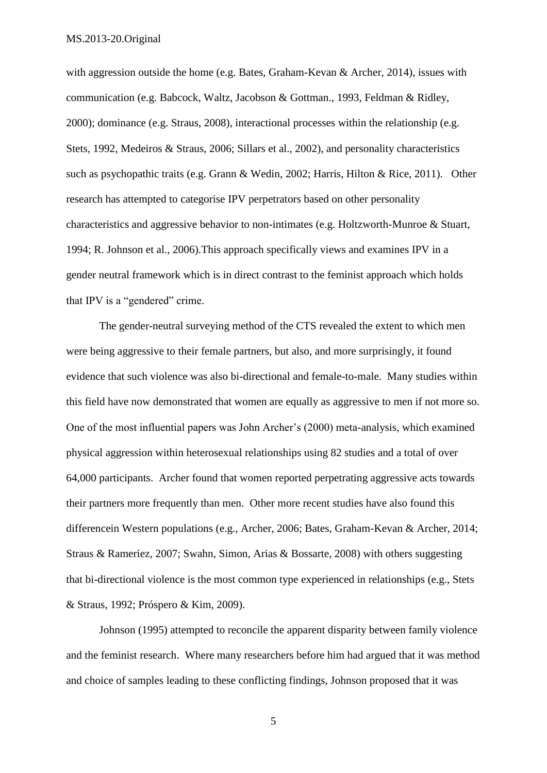with aggression outside the home (e.g. Bates, Graham-Kevan & Archer, 2014), issues with communication (e.g. Babcock, Waltz, Jacobson & Gottman., 1993, Feldman & Ridley, 2000); dominance (e.g. Straus, 2008), interactional processes within the relationship (e.g. Stets, 1992, Medeiros & Straus, 2006; Sillars et al., 2002), and personality characteristics such as psychopathic traits (e.g. Grann & Wedin, 2002; Harris, Hilton & Rice, 2011). Other research has attempted to categorise IPV perpetrators based on other personality characteristics and aggressive behavior to non-intimates (e.g. Holtzworth-Munroe & Stuart, 1994; R. Johnson et al., 2006).This approach specifically views and examines IPV in a gender neutral framework which is in direct contrast to the feminist approach which holds that IPV is a "gendered" crime.

The gender-neutral surveying method of the CTS revealed the extent to which men were being aggressive to their female partners, but also, and more surprisingly, it found evidence that such violence was also bi-directional and female-to-male. Many studies within this field have now demonstrated that women are equally as aggressive to men if not more so. One of the most influential papers was John Archer's (2000) meta-analysis, which examined physical aggression within heterosexual relationships using 82 studies and a total of over 64,000 participants. Archer found that women reported perpetrating aggressive acts towards their partners more frequently than men. Other more recent studies have also found this differencein Western populations (e.g., Archer, 2006; Bates, Graham-Kevan & Archer, 2014; Straus & Rameriez, 2007; Swahn, Simon, Arias & Bossarte, 2008) with others suggesting that bi-directional violence is the most common type experienced in relationships (e.g., Stets & Straus, 1992; Próspero & Kim, 2009).

Johnson (1995) attempted to reconcile the apparent disparity between family violence and the feminist research. Where many researchers before him had argued that it was method and choice of samples leading to these conflicting findings, Johnson proposed that it was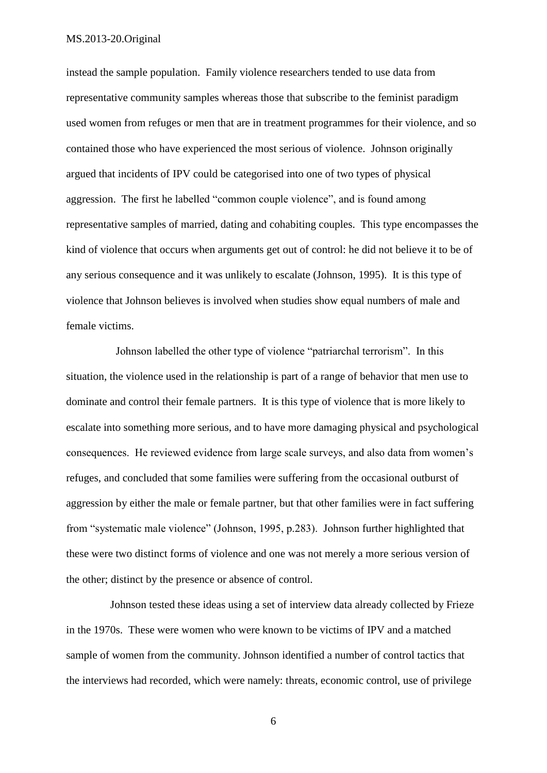instead the sample population. Family violence researchers tended to use data from representative community samples whereas those that subscribe to the feminist paradigm used women from refuges or men that are in treatment programmes for their violence, and so contained those who have experienced the most serious of violence. Johnson originally argued that incidents of IPV could be categorised into one of two types of physical aggression. The first he labelled "common couple violence", and is found among representative samples of married, dating and cohabiting couples. This type encompasses the kind of violence that occurs when arguments get out of control: he did not believe it to be of any serious consequence and it was unlikely to escalate (Johnson, 1995). It is this type of violence that Johnson believes is involved when studies show equal numbers of male and female victims.

 Johnson labelled the other type of violence "patriarchal terrorism". In this situation, the violence used in the relationship is part of a range of behavior that men use to dominate and control their female partners. It is this type of violence that is more likely to escalate into something more serious, and to have more damaging physical and psychological consequences. He reviewed evidence from large scale surveys, and also data from women's refuges, and concluded that some families were suffering from the occasional outburst of aggression by either the male or female partner, but that other families were in fact suffering from "systematic male violence" (Johnson, 1995, p.283). Johnson further highlighted that these were two distinct forms of violence and one was not merely a more serious version of the other; distinct by the presence or absence of control.

 Johnson tested these ideas using a set of interview data already collected by Frieze in the 1970s. These were women who were known to be victims of IPV and a matched sample of women from the community. Johnson identified a number of control tactics that the interviews had recorded, which were namely: threats, economic control, use of privilege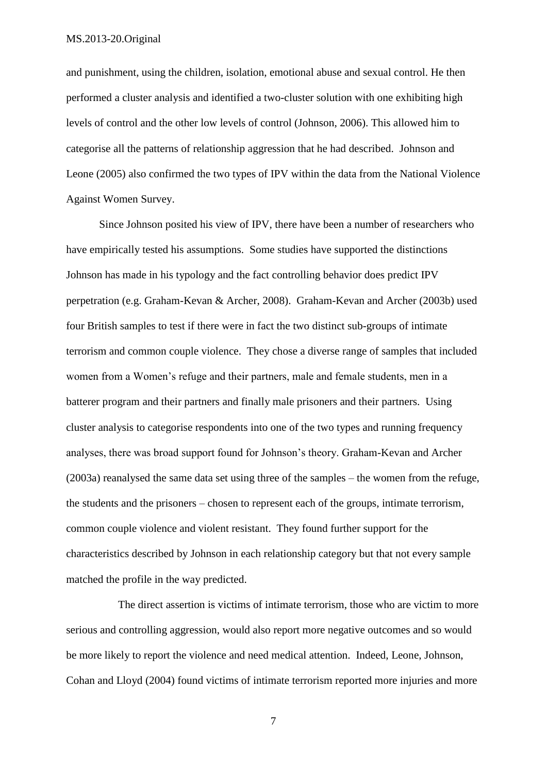and punishment, using the children, isolation, emotional abuse and sexual control. He then performed a cluster analysis and identified a two-cluster solution with one exhibiting high levels of control and the other low levels of control (Johnson, 2006). This allowed him to categorise all the patterns of relationship aggression that he had described. Johnson and Leone (2005) also confirmed the two types of IPV within the data from the National Violence Against Women Survey.

Since Johnson posited his view of IPV, there have been a number of researchers who have empirically tested his assumptions. Some studies have supported the distinctions Johnson has made in his typology and the fact controlling behavior does predict IPV perpetration (e.g. Graham-Kevan & Archer, 2008). Graham-Kevan and Archer (2003b) used four British samples to test if there were in fact the two distinct sub-groups of intimate terrorism and common couple violence. They chose a diverse range of samples that included women from a Women's refuge and their partners, male and female students, men in a batterer program and their partners and finally male prisoners and their partners. Using cluster analysis to categorise respondents into one of the two types and running frequency analyses, there was broad support found for Johnson's theory. Graham-Kevan and Archer (2003a) reanalysed the same data set using three of the samples – the women from the refuge, the students and the prisoners – chosen to represent each of the groups, intimate terrorism, common couple violence and violent resistant. They found further support for the characteristics described by Johnson in each relationship category but that not every sample matched the profile in the way predicted.

The direct assertion is victims of intimate terrorism, those who are victim to more serious and controlling aggression, would also report more negative outcomes and so would be more likely to report the violence and need medical attention. Indeed, Leone, Johnson, Cohan and Lloyd (2004) found victims of intimate terrorism reported more injuries and more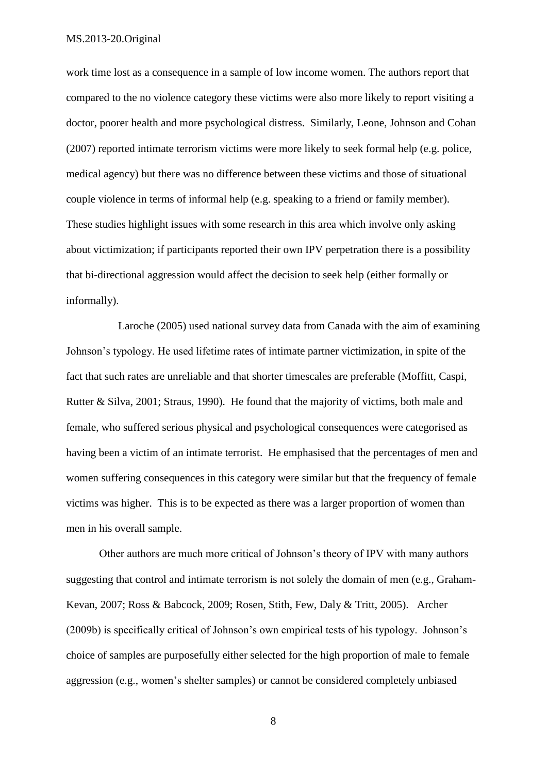work time lost as a consequence in a sample of low income women. The authors report that compared to the no violence category these victims were also more likely to report visiting a doctor, poorer health and more psychological distress. Similarly, Leone, Johnson and Cohan (2007) reported intimate terrorism victims were more likely to seek formal help (e.g. police, medical agency) but there was no difference between these victims and those of situational couple violence in terms of informal help (e.g. speaking to a friend or family member). These studies highlight issues with some research in this area which involve only asking about victimization; if participants reported their own IPV perpetration there is a possibility that bi-directional aggression would affect the decision to seek help (either formally or informally).

Laroche (2005) used national survey data from Canada with the aim of examining Johnson's typology. He used lifetime rates of intimate partner victimization, in spite of the fact that such rates are unreliable and that shorter timescales are preferable (Moffitt, Caspi, Rutter & Silva, 2001; Straus, 1990). He found that the majority of victims, both male and female, who suffered serious physical and psychological consequences were categorised as having been a victim of an intimate terrorist. He emphasised that the percentages of men and women suffering consequences in this category were similar but that the frequency of female victims was higher. This is to be expected as there was a larger proportion of women than men in his overall sample.

Other authors are much more critical of Johnson's theory of IPV with many authors suggesting that control and intimate terrorism is not solely the domain of men (e.g., Graham-Kevan, 2007; Ross & Babcock, 2009; Rosen, Stith, Few, Daly & Tritt, 2005). Archer (2009b) is specifically critical of Johnson's own empirical tests of his typology. Johnson's choice of samples are purposefully either selected for the high proportion of male to female aggression (e.g., women's shelter samples) or cannot be considered completely unbiased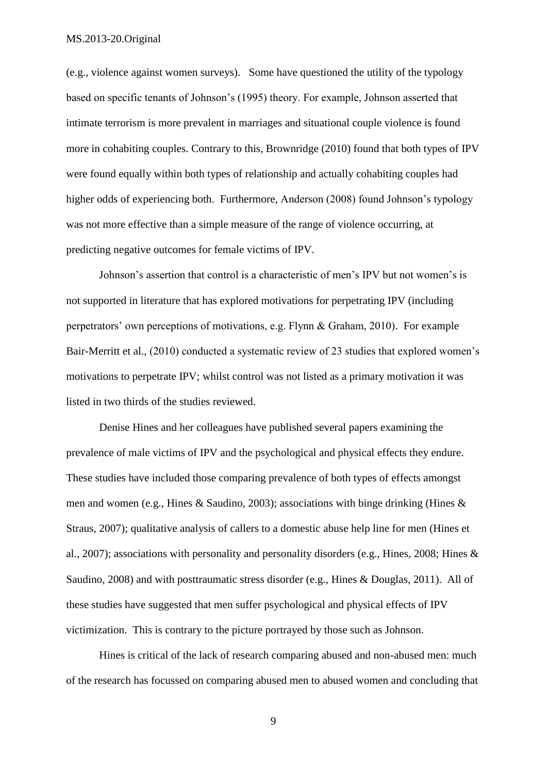(e.g., violence against women surveys). Some have questioned the utility of the typology based on specific tenants of Johnson's (1995) theory. For example, Johnson asserted that intimate terrorism is more prevalent in marriages and situational couple violence is found more in cohabiting couples. Contrary to this, Brownridge (2010) found that both types of IPV were found equally within both types of relationship and actually cohabiting couples had higher odds of experiencing both. Furthermore, Anderson (2008) found Johnson's typology was not more effective than a simple measure of the range of violence occurring, at predicting negative outcomes for female victims of IPV.

Johnson's assertion that control is a characteristic of men's IPV but not women's is not supported in literature that has explored motivations for perpetrating IPV (including perpetrators' own perceptions of motivations, e.g. Flynn & Graham, 2010). For example Bair-Merritt et al., (2010) conducted a systematic review of 23 studies that explored women's motivations to perpetrate IPV; whilst control was not listed as a primary motivation it was listed in two thirds of the studies reviewed.

Denise Hines and her colleagues have published several papers examining the prevalence of male victims of IPV and the psychological and physical effects they endure. These studies have included those comparing prevalence of both types of effects amongst men and women (e.g., Hines & Saudino, 2003); associations with binge drinking (Hines & Straus, 2007); qualitative analysis of callers to a domestic abuse help line for men (Hines et al., 2007); associations with personality and personality disorders (e.g., Hines, 2008; Hines & Saudino, 2008) and with posttraumatic stress disorder (e.g., Hines & Douglas, 2011). All of these studies have suggested that men suffer psychological and physical effects of IPV victimization. This is contrary to the picture portrayed by those such as Johnson.

Hines is critical of the lack of research comparing abused and non-abused men: much of the research has focussed on comparing abused men to abused women and concluding that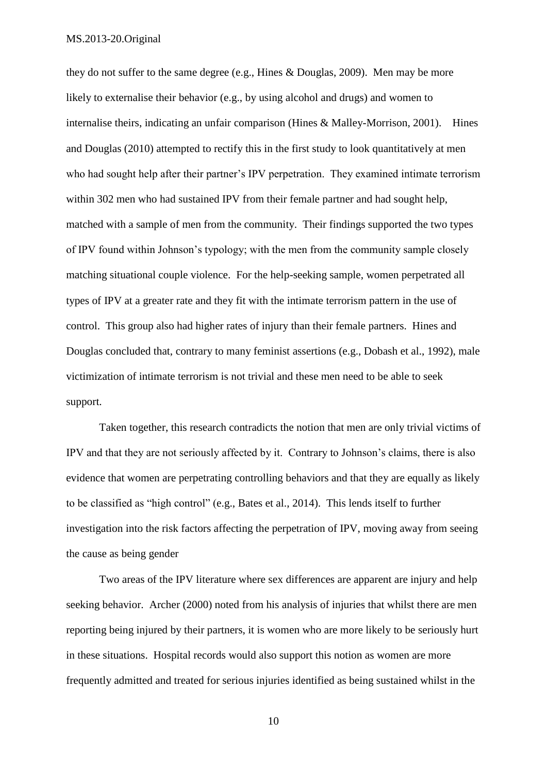they do not suffer to the same degree (e.g., Hines & Douglas, 2009). Men may be more likely to externalise their behavior (e.g., by using alcohol and drugs) and women to internalise theirs, indicating an unfair comparison (Hines & Malley-Morrison, 2001). Hines and Douglas (2010) attempted to rectify this in the first study to look quantitatively at men who had sought help after their partner's IPV perpetration. They examined intimate terrorism within 302 men who had sustained IPV from their female partner and had sought help, matched with a sample of men from the community. Their findings supported the two types of IPV found within Johnson's typology; with the men from the community sample closely matching situational couple violence. For the help-seeking sample, women perpetrated all types of IPV at a greater rate and they fit with the intimate terrorism pattern in the use of control. This group also had higher rates of injury than their female partners. Hines and Douglas concluded that, contrary to many feminist assertions (e.g., Dobash et al., 1992), male victimization of intimate terrorism is not trivial and these men need to be able to seek support.

Taken together, this research contradicts the notion that men are only trivial victims of IPV and that they are not seriously affected by it. Contrary to Johnson's claims, there is also evidence that women are perpetrating controlling behaviors and that they are equally as likely to be classified as "high control" (e.g., Bates et al., 2014). This lends itself to further investigation into the risk factors affecting the perpetration of IPV, moving away from seeing the cause as being gender

Two areas of the IPV literature where sex differences are apparent are injury and help seeking behavior. Archer (2000) noted from his analysis of injuries that whilst there are men reporting being injured by their partners, it is women who are more likely to be seriously hurt in these situations. Hospital records would also support this notion as women are more frequently admitted and treated for serious injuries identified as being sustained whilst in the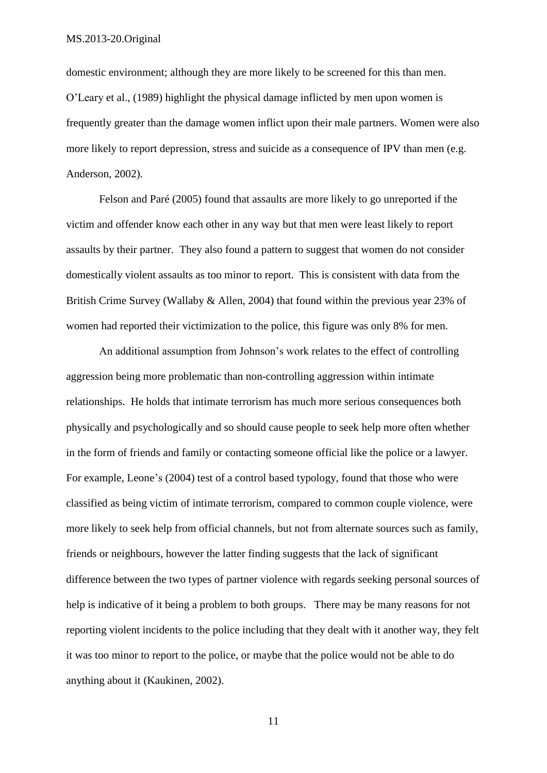domestic environment; although they are more likely to be screened for this than men. O'Leary et al., (1989) highlight the physical damage inflicted by men upon women is frequently greater than the damage women inflict upon their male partners. Women were also more likely to report depression, stress and suicide as a consequence of IPV than men (e.g. Anderson, 2002).

Felson and Paré (2005) found that assaults are more likely to go unreported if the victim and offender know each other in any way but that men were least likely to report assaults by their partner. They also found a pattern to suggest that women do not consider domestically violent assaults as too minor to report. This is consistent with data from the British Crime Survey (Wallaby & Allen, 2004) that found within the previous year 23% of women had reported their victimization to the police, this figure was only 8% for men.

An additional assumption from Johnson's work relates to the effect of controlling aggression being more problematic than non-controlling aggression within intimate relationships. He holds that intimate terrorism has much more serious consequences both physically and psychologically and so should cause people to seek help more often whether in the form of friends and family or contacting someone official like the police or a lawyer. For example, Leone's (2004) test of a control based typology, found that those who were classified as being victim of intimate terrorism, compared to common couple violence, were more likely to seek help from official channels, but not from alternate sources such as family, friends or neighbours, however the latter finding suggests that the lack of significant difference between the two types of partner violence with regards seeking personal sources of help is indicative of it being a problem to both groups. There may be many reasons for not reporting violent incidents to the police including that they dealt with it another way, they felt it was too minor to report to the police, or maybe that the police would not be able to do anything about it (Kaukinen, 2002).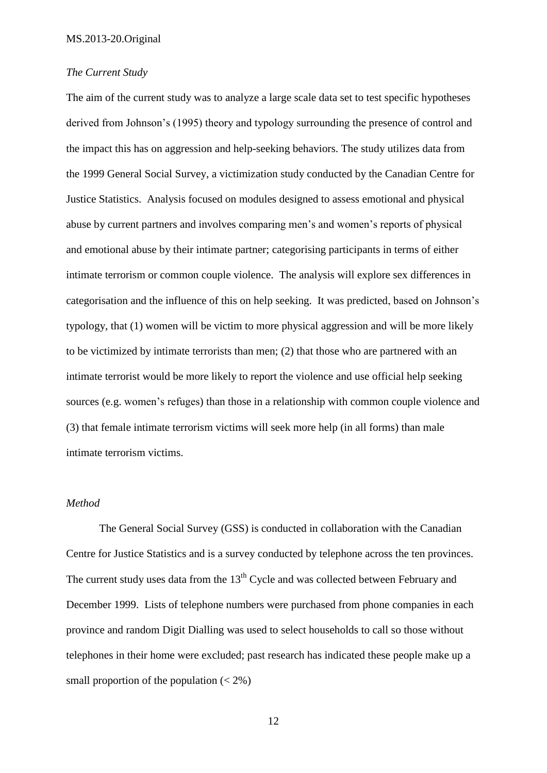#### *The Current Study*

The aim of the current study was to analyze a large scale data set to test specific hypotheses derived from Johnson's (1995) theory and typology surrounding the presence of control and the impact this has on aggression and help-seeking behaviors. The study utilizes data from the 1999 General Social Survey, a victimization study conducted by the Canadian Centre for Justice Statistics. Analysis focused on modules designed to assess emotional and physical abuse by current partners and involves comparing men's and women's reports of physical and emotional abuse by their intimate partner; categorising participants in terms of either intimate terrorism or common couple violence. The analysis will explore sex differences in categorisation and the influence of this on help seeking. It was predicted, based on Johnson's typology, that (1) women will be victim to more physical aggression and will be more likely to be victimized by intimate terrorists than men; (2) that those who are partnered with an intimate terrorist would be more likely to report the violence and use official help seeking sources (e.g. women's refuges) than those in a relationship with common couple violence and (3) that female intimate terrorism victims will seek more help (in all forms) than male intimate terrorism victims.

#### *Method*

The General Social Survey (GSS) is conducted in collaboration with the Canadian Centre for Justice Statistics and is a survey conducted by telephone across the ten provinces. The current study uses data from the  $13<sup>th</sup>$  Cycle and was collected between February and December 1999. Lists of telephone numbers were purchased from phone companies in each province and random Digit Dialling was used to select households to call so those without telephones in their home were excluded; past research has indicated these people make up a small proportion of the population  $(< 2\%)$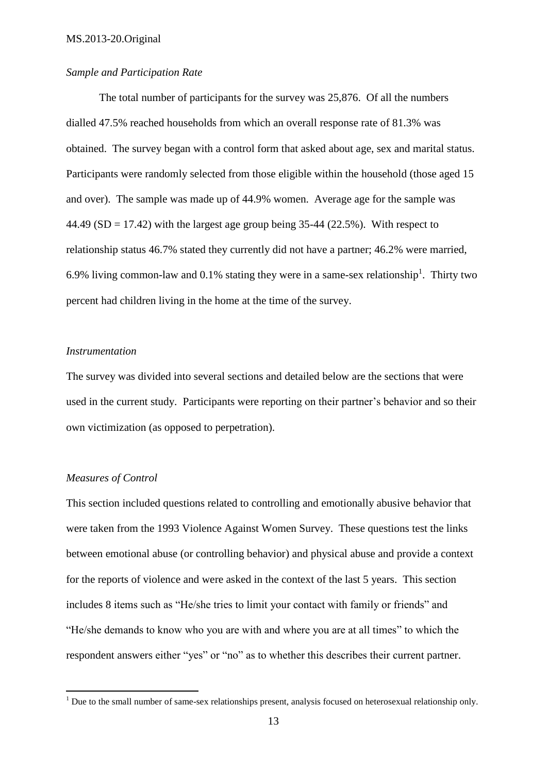#### *Sample and Participation Rate*

The total number of participants for the survey was 25,876. Of all the numbers dialled 47.5% reached households from which an overall response rate of 81.3% was obtained. The survey began with a control form that asked about age, sex and marital status. Participants were randomly selected from those eligible within the household (those aged 15 and over). The sample was made up of 44.9% women. Average age for the sample was 44.49 (SD = 17.42) with the largest age group being 35-44 (22.5%). With respect to relationship status 46.7% stated they currently did not have a partner; 46.2% were married, 6.9% living common-law and 0.1% stating they were in a same-sex relationship<sup>1</sup>. Thirty two percent had children living in the home at the time of the survey.

#### *Instrumentation*

The survey was divided into several sections and detailed below are the sections that were used in the current study. Participants were reporting on their partner's behavior and so their own victimization (as opposed to perpetration).

## *Measures of Control*

1

This section included questions related to controlling and emotionally abusive behavior that were taken from the 1993 Violence Against Women Survey. These questions test the links between emotional abuse (or controlling behavior) and physical abuse and provide a context for the reports of violence and were asked in the context of the last 5 years. This section includes 8 items such as "He/she tries to limit your contact with family or friends" and "He/she demands to know who you are with and where you are at all times" to which the respondent answers either "yes" or "no" as to whether this describes their current partner.

 $1$  Due to the small number of same-sex relationships present, analysis focused on heterosexual relationship only.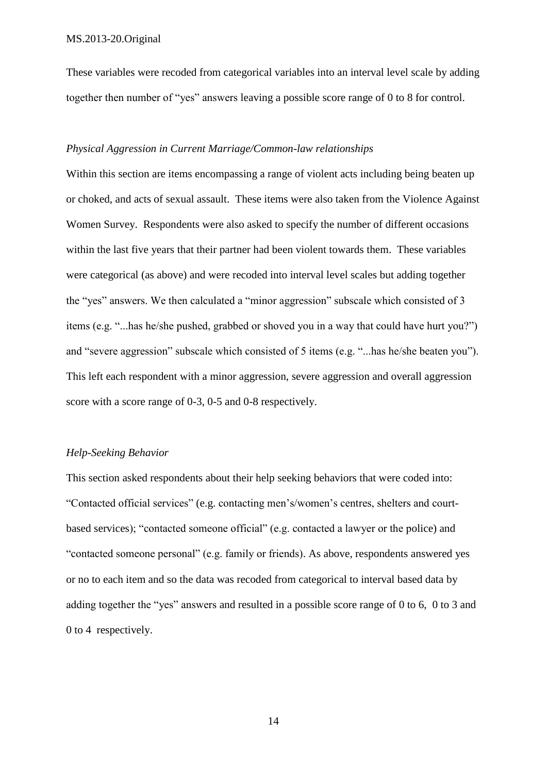These variables were recoded from categorical variables into an interval level scale by adding together then number of "yes" answers leaving a possible score range of 0 to 8 for control.

### *Physical Aggression in Current Marriage/Common-law relationships*

Within this section are items encompassing a range of violent acts including being beaten up or choked, and acts of sexual assault. These items were also taken from the Violence Against Women Survey. Respondents were also asked to specify the number of different occasions within the last five years that their partner had been violent towards them. These variables were categorical (as above) and were recoded into interval level scales but adding together the "yes" answers. We then calculated a "minor aggression" subscale which consisted of 3 items (e.g. "...has he/she pushed, grabbed or shoved you in a way that could have hurt you?") and "severe aggression" subscale which consisted of 5 items (e.g. "...has he/she beaten you"). This left each respondent with a minor aggression, severe aggression and overall aggression score with a score range of 0-3, 0-5 and 0-8 respectively.

#### *Help-Seeking Behavior*

This section asked respondents about their help seeking behaviors that were coded into: "Contacted official services" (e.g. contacting men's/women's centres, shelters and courtbased services); "contacted someone official" (e.g. contacted a lawyer or the police) and "contacted someone personal" (e.g. family or friends). As above, respondents answered yes or no to each item and so the data was recoded from categorical to interval based data by adding together the "yes" answers and resulted in a possible score range of 0 to 6, 0 to 3 and 0 to 4 respectively.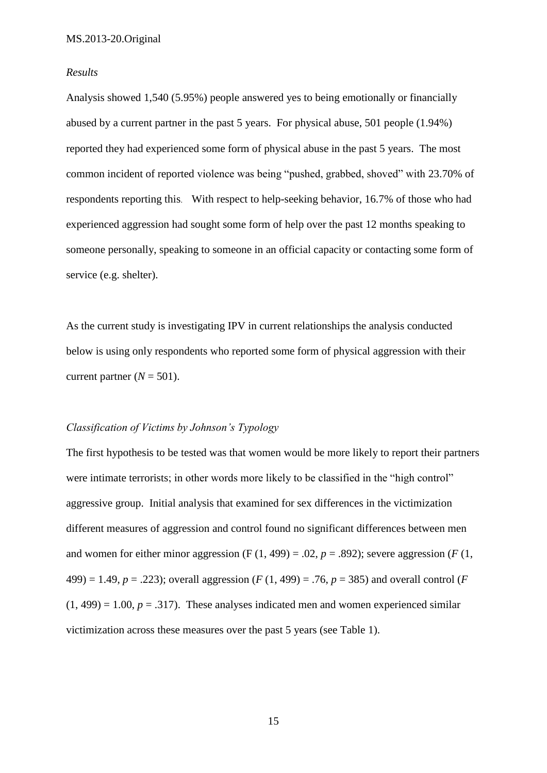#### *Results*

Analysis showed 1,540 (5.95%) people answered yes to being emotionally or financially abused by a current partner in the past 5 years. For physical abuse, 501 people (1.94%) reported they had experienced some form of physical abuse in the past 5 years. The most common incident of reported violence was being "pushed, grabbed, shoved" with 23.70% of respondents reporting this. With respect to help-seeking behavior, 16.7% of those who had experienced aggression had sought some form of help over the past 12 months speaking to someone personally, speaking to someone in an official capacity or contacting some form of service (e.g. shelter).

As the current study is investigating IPV in current relationships the analysis conducted below is using only respondents who reported some form of physical aggression with their current partner  $(N = 501)$ .

## *Classification of Victims by Johnson's Typology*

The first hypothesis to be tested was that women would be more likely to report their partners were intimate terrorists; in other words more likely to be classified in the "high control" aggressive group. Initial analysis that examined for sex differences in the victimization different measures of aggression and control found no significant differences between men and women for either minor aggression (F  $(1, 499) = .02$ ,  $p = .892$ ); severe aggression (F  $(1, 499) = .02$ ) 499) = 1.49,  $p = .223$ ; overall aggression (*F* (1, 499) = .76,  $p = 385$ ) and overall control (*F*  $(1, 499) = 1.00$ ,  $p = .317$ ). These analyses indicated men and women experienced similar victimization across these measures over the past 5 years (see Table 1).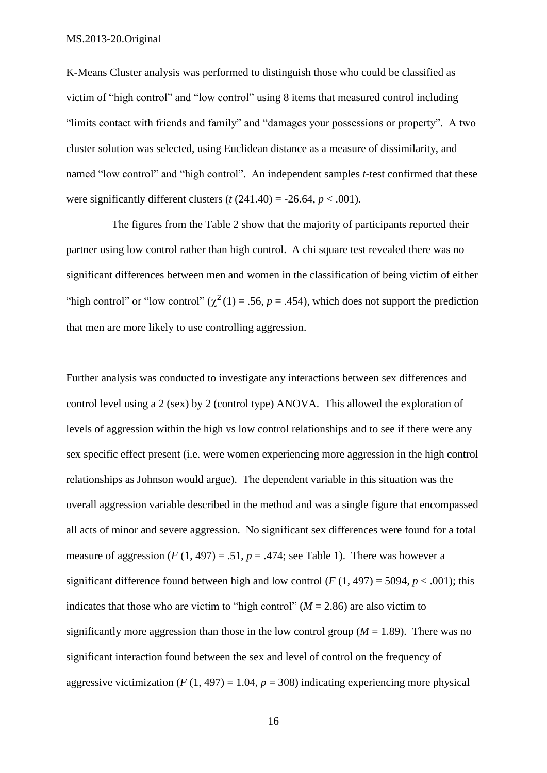K-Means Cluster analysis was performed to distinguish those who could be classified as victim of "high control" and "low control" using 8 items that measured control including "limits contact with friends and family" and "damages your possessions or property". A two cluster solution was selected, using Euclidean distance as a measure of dissimilarity, and named "low control" and "high control". An independent samples *t*-test confirmed that these were significantly different clusters  $(t (241.40) = -26.64, p < .001)$ .

The figures from the Table 2 show that the majority of participants reported their partner using low control rather than high control. A chi square test revealed there was no significant differences between men and women in the classification of being victim of either "high control" or "low control" ( $\chi^2(1) = .56$ ,  $p = .454$ ), which does not support the prediction that men are more likely to use controlling aggression.

Further analysis was conducted to investigate any interactions between sex differences and control level using a 2 (sex) by 2 (control type) ANOVA. This allowed the exploration of levels of aggression within the high vs low control relationships and to see if there were any sex specific effect present (i.e. were women experiencing more aggression in the high control relationships as Johnson would argue). The dependent variable in this situation was the overall aggression variable described in the method and was a single figure that encompassed all acts of minor and severe aggression. No significant sex differences were found for a total measure of aggression  $(F (1, 497) = .51, p = .474$ ; see Table 1). There was however a significant difference found between high and low control  $(F(1, 497) = 5094, p < .001)$ ; this indicates that those who are victim to "high control"  $(M = 2.86)$  are also victim to significantly more aggression than those in the low control group  $(M = 1.89)$ . There was no significant interaction found between the sex and level of control on the frequency of aggressive victimization ( $F(1, 497) = 1.04$ ,  $p = 308$ ) indicating experiencing more physical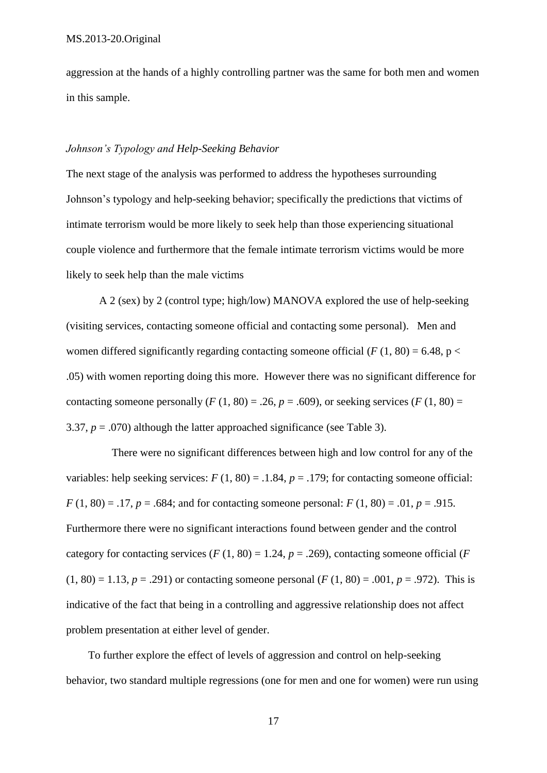aggression at the hands of a highly controlling partner was the same for both men and women in this sample.

## *Johnson's Typology and Help-Seeking Behavior*

The next stage of the analysis was performed to address the hypotheses surrounding Johnson's typology and help-seeking behavior; specifically the predictions that victims of intimate terrorism would be more likely to seek help than those experiencing situational couple violence and furthermore that the female intimate terrorism victims would be more likely to seek help than the male victims

A 2 (sex) by 2 (control type; high/low) MANOVA explored the use of help-seeking (visiting services, contacting someone official and contacting some personal). Men and women differed significantly regarding contacting someone official  $(F(1, 80) = 6.48, p <$ .05) with women reporting doing this more. However there was no significant difference for contacting someone personally  $(F(1, 80) = .26, p = .609)$ , or seeking services  $(F(1, 80) = .26, p = .609)$ 3.37,  $p = .070$ ) although the latter approached significance (see Table 3).

There were no significant differences between high and low control for any of the variables: help seeking services:  $F(1, 80) = .1.84$ ,  $p = .179$ ; for contacting someone official:  $F(1, 80) = .17$ ,  $p = .684$ ; and for contacting someone personal:  $F(1, 80) = .01$ ,  $p = .915$ . Furthermore there were no significant interactions found between gender and the control category for contacting services ( $F(1, 80) = 1.24$ ,  $p = .269$ ), contacting someone official ( $F($  $(1, 80) = 1.13$ ,  $p = .291$ ) or contacting someone personal (*F* (1, 80) = .001,  $p = .972$ ). This is indicative of the fact that being in a controlling and aggressive relationship does not affect problem presentation at either level of gender.

 To further explore the effect of levels of aggression and control on help-seeking behavior, two standard multiple regressions (one for men and one for women) were run using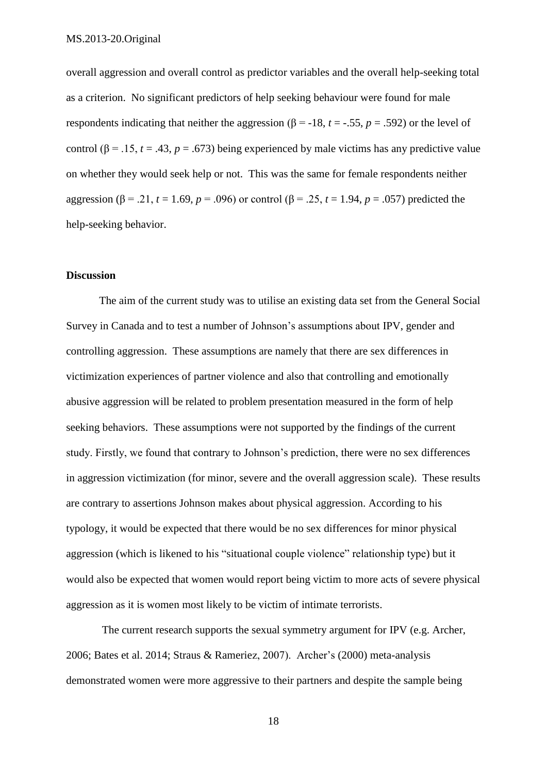overall aggression and overall control as predictor variables and the overall help-seeking total as a criterion. No significant predictors of help seeking behaviour were found for male respondents indicating that neither the aggression (β = -18,  $t = -0.55$ ,  $p = 0.592$ ) or the level of control ( $\beta$  = .15, *t* = .43, *p* = .673) being experienced by male victims has any predictive value on whether they would seek help or not. This was the same for female respondents neither aggression (β = .21, *t* = 1.69, *p* = .096) or control (β = .25, *t* = 1.94, *p* = .057) predicted the help-seeking behavior.

#### **Discussion**

The aim of the current study was to utilise an existing data set from the General Social Survey in Canada and to test a number of Johnson's assumptions about IPV, gender and controlling aggression. These assumptions are namely that there are sex differences in victimization experiences of partner violence and also that controlling and emotionally abusive aggression will be related to problem presentation measured in the form of help seeking behaviors. These assumptions were not supported by the findings of the current study. Firstly, we found that contrary to Johnson's prediction, there were no sex differences in aggression victimization (for minor, severe and the overall aggression scale). These results are contrary to assertions Johnson makes about physical aggression. According to his typology, it would be expected that there would be no sex differences for minor physical aggression (which is likened to his "situational couple violence" relationship type) but it would also be expected that women would report being victim to more acts of severe physical aggression as it is women most likely to be victim of intimate terrorists.

The current research supports the sexual symmetry argument for IPV (e.g. Archer, 2006; Bates et al. 2014; Straus & Rameriez, 2007). Archer's (2000) meta-analysis demonstrated women were more aggressive to their partners and despite the sample being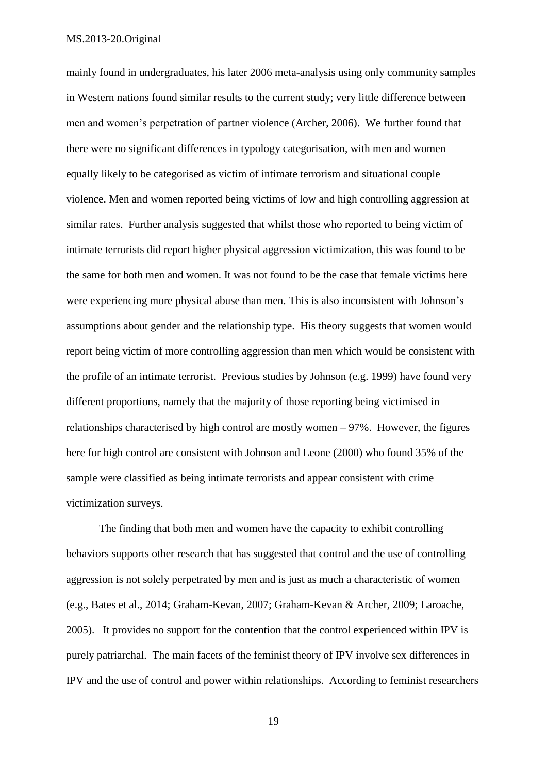mainly found in undergraduates, his later 2006 meta-analysis using only community samples in Western nations found similar results to the current study; very little difference between men and women's perpetration of partner violence (Archer, 2006). We further found that there were no significant differences in typology categorisation, with men and women equally likely to be categorised as victim of intimate terrorism and situational couple violence. Men and women reported being victims of low and high controlling aggression at similar rates. Further analysis suggested that whilst those who reported to being victim of intimate terrorists did report higher physical aggression victimization, this was found to be the same for both men and women. It was not found to be the case that female victims here were experiencing more physical abuse than men. This is also inconsistent with Johnson's assumptions about gender and the relationship type. His theory suggests that women would report being victim of more controlling aggression than men which would be consistent with the profile of an intimate terrorist. Previous studies by Johnson (e.g. 1999) have found very different proportions, namely that the majority of those reporting being victimised in relationships characterised by high control are mostly women – 97%. However, the figures here for high control are consistent with Johnson and Leone (2000) who found 35% of the sample were classified as being intimate terrorists and appear consistent with crime victimization surveys.

The finding that both men and women have the capacity to exhibit controlling behaviors supports other research that has suggested that control and the use of controlling aggression is not solely perpetrated by men and is just as much a characteristic of women (e.g., Bates et al., 2014; Graham-Kevan, 2007; Graham-Kevan & Archer, 2009; Laroache, 2005). It provides no support for the contention that the control experienced within IPV is purely patriarchal. The main facets of the feminist theory of IPV involve sex differences in IPV and the use of control and power within relationships. According to feminist researchers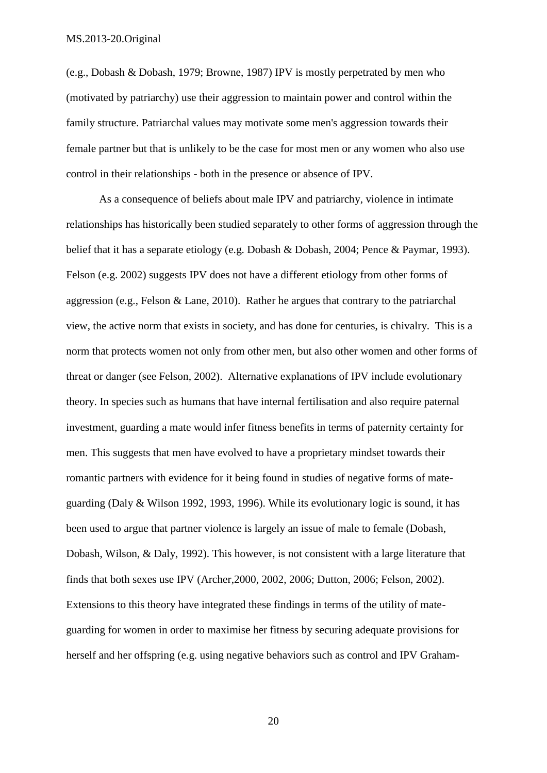(e.g., Dobash & Dobash, 1979; Browne, 1987) IPV is mostly perpetrated by men who (motivated by patriarchy) use their aggression to maintain power and control within the family structure. Patriarchal values may motivate some men's aggression towards their female partner but that is unlikely to be the case for most men or any women who also use control in their relationships - both in the presence or absence of IPV.

As a consequence of beliefs about male IPV and patriarchy, violence in intimate relationships has historically been studied separately to other forms of aggression through the belief that it has a separate etiology (e.g. Dobash & Dobash, 2004; Pence & Paymar, 1993). Felson (e.g. 2002) suggests IPV does not have a different etiology from other forms of aggression (e.g., Felson & Lane, 2010). Rather he argues that contrary to the patriarchal view, the active norm that exists in society, and has done for centuries, is chivalry. This is a norm that protects women not only from other men, but also other women and other forms of threat or danger (see Felson, 2002). Alternative explanations of IPV include evolutionary theory. In species such as humans that have internal fertilisation and also require paternal investment, guarding a mate would infer fitness benefits in terms of paternity certainty for men. This suggests that men have evolved to have a proprietary mindset towards their romantic partners with evidence for it being found in studies of negative forms of mateguarding (Daly & Wilson 1992, 1993, 1996). While its evolutionary logic is sound, it has been used to argue that partner violence is largely an issue of male to female (Dobash, Dobash, Wilson, & Daly, 1992). This however, is not consistent with a large literature that finds that both sexes use IPV (Archer,2000, 2002, 2006; Dutton, 2006; Felson, 2002). Extensions to this theory have integrated these findings in terms of the utility of mateguarding for women in order to maximise her fitness by securing adequate provisions for herself and her offspring (e.g. using negative behaviors such as control and IPV Graham-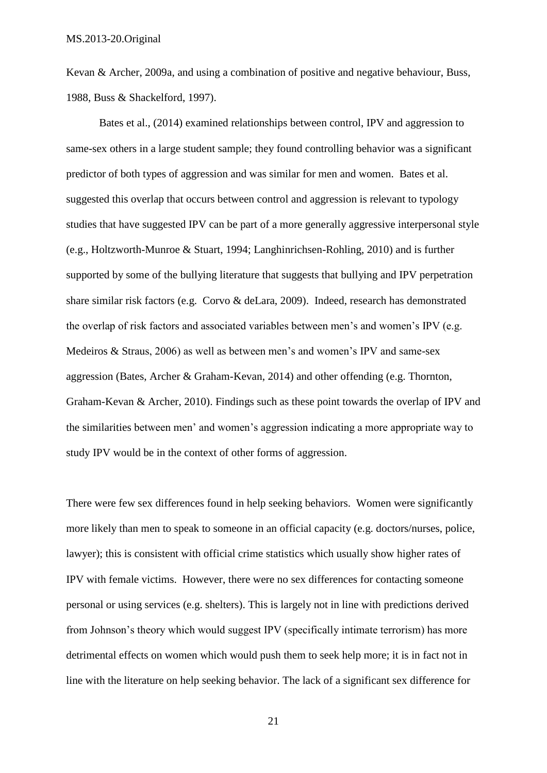Kevan & Archer, 2009a, and using a combination of positive and negative behaviour, Buss, 1988, Buss & Shackelford, 1997).

Bates et al., (2014) examined relationships between control, IPV and aggression to same-sex others in a large student sample; they found controlling behavior was a significant predictor of both types of aggression and was similar for men and women. Bates et al. suggested this overlap that occurs between control and aggression is relevant to typology studies that have suggested IPV can be part of a more generally aggressive interpersonal style (e.g., Holtzworth-Munroe & Stuart, 1994; Langhinrichsen-Rohling, 2010) and is further supported by some of the bullying literature that suggests that bullying and IPV perpetration share similar risk factors (e.g. Corvo & deLara, 2009). Indeed, research has demonstrated the overlap of risk factors and associated variables between men's and women's IPV (e.g. Medeiros & Straus, 2006) as well as between men's and women's IPV and same-sex aggression (Bates, Archer & Graham-Kevan, 2014) and other offending (e.g. Thornton, Graham-Kevan & Archer, 2010). Findings such as these point towards the overlap of IPV and the similarities between men' and women's aggression indicating a more appropriate way to study IPV would be in the context of other forms of aggression.

There were few sex differences found in help seeking behaviors. Women were significantly more likely than men to speak to someone in an official capacity (e.g. doctors/nurses, police, lawyer); this is consistent with official crime statistics which usually show higher rates of IPV with female victims. However, there were no sex differences for contacting someone personal or using services (e.g. shelters). This is largely not in line with predictions derived from Johnson's theory which would suggest IPV (specifically intimate terrorism) has more detrimental effects on women which would push them to seek help more; it is in fact not in line with the literature on help seeking behavior. The lack of a significant sex difference for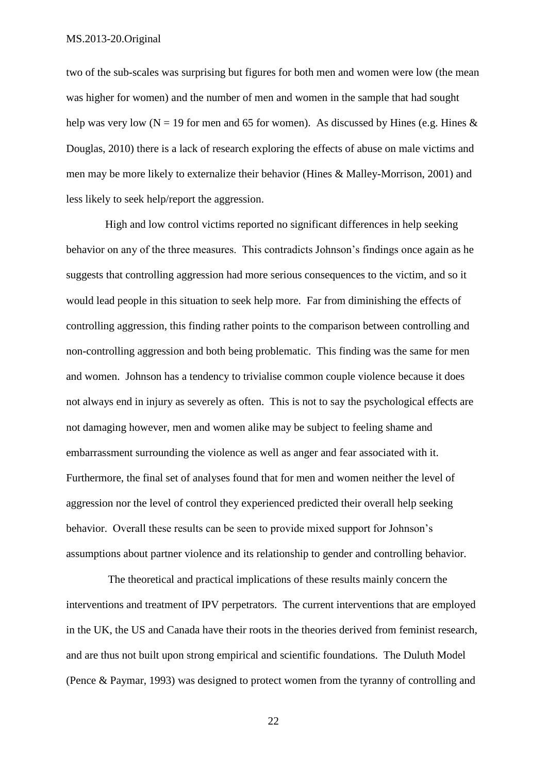two of the sub-scales was surprising but figures for both men and women were low (the mean was higher for women) and the number of men and women in the sample that had sought help was very low (N = 19 for men and 65 for women). As discussed by Hines (e.g. Hines  $\&$ Douglas, 2010) there is a lack of research exploring the effects of abuse on male victims and men may be more likely to externalize their behavior (Hines & Malley-Morrison, 2001) and less likely to seek help/report the aggression.

High and low control victims reported no significant differences in help seeking behavior on any of the three measures. This contradicts Johnson's findings once again as he suggests that controlling aggression had more serious consequences to the victim, and so it would lead people in this situation to seek help more. Far from diminishing the effects of controlling aggression, this finding rather points to the comparison between controlling and non-controlling aggression and both being problematic. This finding was the same for men and women. Johnson has a tendency to trivialise common couple violence because it does not always end in injury as severely as often. This is not to say the psychological effects are not damaging however, men and women alike may be subject to feeling shame and embarrassment surrounding the violence as well as anger and fear associated with it. Furthermore, the final set of analyses found that for men and women neither the level of aggression nor the level of control they experienced predicted their overall help seeking behavior. Overall these results can be seen to provide mixed support for Johnson's assumptions about partner violence and its relationship to gender and controlling behavior.

The theoretical and practical implications of these results mainly concern the interventions and treatment of IPV perpetrators. The current interventions that are employed in the UK, the US and Canada have their roots in the theories derived from feminist research, and are thus not built upon strong empirical and scientific foundations. The Duluth Model (Pence & Paymar, 1993) was designed to protect women from the tyranny of controlling and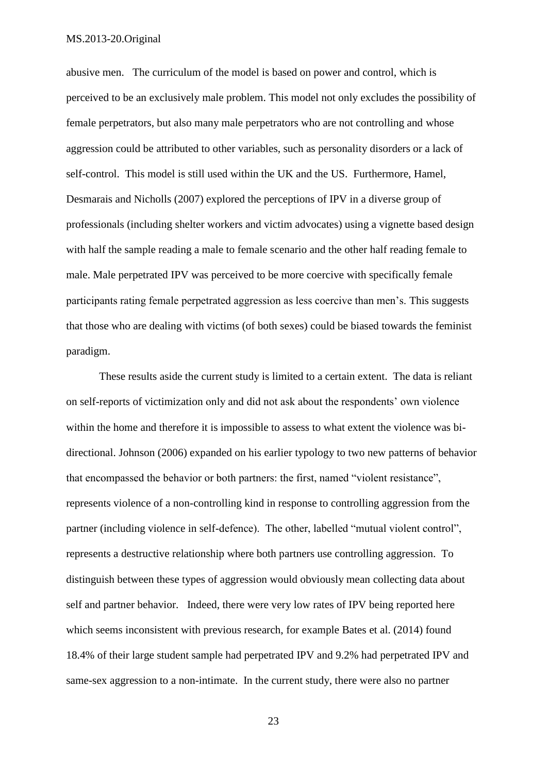abusive men. The curriculum of the model is based on power and control, which is perceived to be an exclusively male problem. This model not only excludes the possibility of female perpetrators, but also many male perpetrators who are not controlling and whose aggression could be attributed to other variables, such as personality disorders or a lack of self-control. This model is still used within the UK and the US. Furthermore, Hamel, Desmarais and Nicholls (2007) explored the perceptions of IPV in a diverse group of professionals (including shelter workers and victim advocates) using a vignette based design with half the sample reading a male to female scenario and the other half reading female to male. Male perpetrated IPV was perceived to be more coercive with specifically female participants rating female perpetrated aggression as less coercive than men's. This suggests that those who are dealing with victims (of both sexes) could be biased towards the feminist paradigm.

These results aside the current study is limited to a certain extent. The data is reliant on self-reports of victimization only and did not ask about the respondents' own violence within the home and therefore it is impossible to assess to what extent the violence was bidirectional. Johnson (2006) expanded on his earlier typology to two new patterns of behavior that encompassed the behavior or both partners: the first, named "violent resistance", represents violence of a non-controlling kind in response to controlling aggression from the partner (including violence in self-defence). The other, labelled "mutual violent control", represents a destructive relationship where both partners use controlling aggression. To distinguish between these types of aggression would obviously mean collecting data about self and partner behavior. Indeed, there were very low rates of IPV being reported here which seems inconsistent with previous research, for example Bates et al. (2014) found 18.4% of their large student sample had perpetrated IPV and 9.2% had perpetrated IPV and same-sex aggression to a non-intimate. In the current study, there were also no partner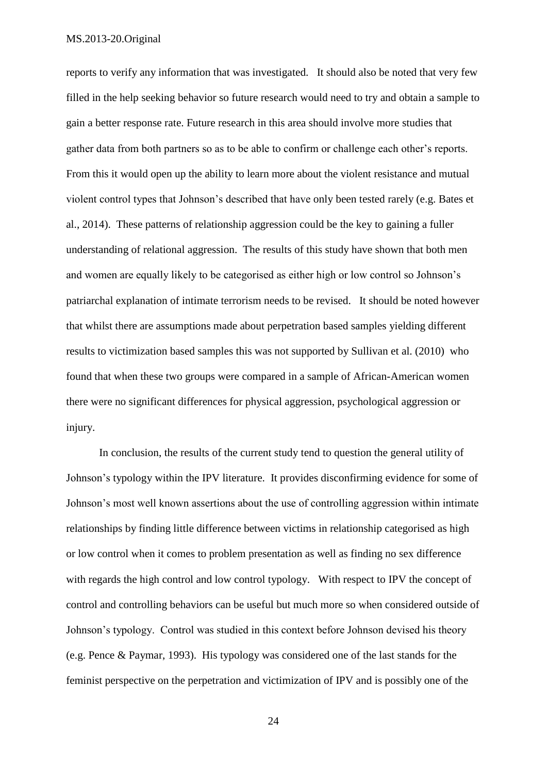reports to verify any information that was investigated. It should also be noted that very few filled in the help seeking behavior so future research would need to try and obtain a sample to gain a better response rate. Future research in this area should involve more studies that gather data from both partners so as to be able to confirm or challenge each other's reports. From this it would open up the ability to learn more about the violent resistance and mutual violent control types that Johnson's described that have only been tested rarely (e.g. Bates et al., 2014). These patterns of relationship aggression could be the key to gaining a fuller understanding of relational aggression. The results of this study have shown that both men and women are equally likely to be categorised as either high or low control so Johnson's patriarchal explanation of intimate terrorism needs to be revised. It should be noted however that whilst there are assumptions made about perpetration based samples yielding different results to victimization based samples this was not supported by Sullivan et al. (2010) who found that when these two groups were compared in a sample of African-American women there were no significant differences for physical aggression, psychological aggression or injury.

In conclusion, the results of the current study tend to question the general utility of Johnson's typology within the IPV literature. It provides disconfirming evidence for some of Johnson's most well known assertions about the use of controlling aggression within intimate relationships by finding little difference between victims in relationship categorised as high or low control when it comes to problem presentation as well as finding no sex difference with regards the high control and low control typology. With respect to IPV the concept of control and controlling behaviors can be useful but much more so when considered outside of Johnson's typology. Control was studied in this context before Johnson devised his theory (e.g. Pence & Paymar, 1993). His typology was considered one of the last stands for the feminist perspective on the perpetration and victimization of IPV and is possibly one of the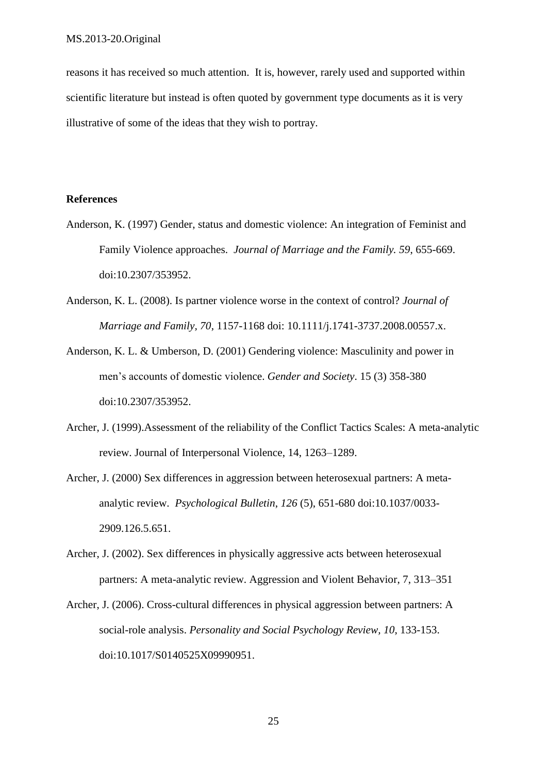reasons it has received so much attention. It is, however, rarely used and supported within scientific literature but instead is often quoted by government type documents as it is very illustrative of some of the ideas that they wish to portray.

## **References**

- Anderson, K. (1997) Gender, status and domestic violence: An integration of Feminist and Family Violence approaches. *Journal of Marriage and the Family. 59*, 655-669. doi:10.2307/353952.
- Anderson, K. L. (2008). Is partner violence worse in the context of control? *Journal of Marriage and Family, 70*, 1157-1168 doi: 10.1111/j.1741-3737.2008.00557.x.
- Anderson, K. L. & Umberson, D. (2001) Gendering violence: Masculinity and power in men's accounts of domestic violence. *Gender and Society*. 15 (3) 358-380 doi:10.2307/353952.
- Archer, J. (1999).Assessment of the reliability of the Conflict Tactics Scales: A meta-analytic review. Journal of Interpersonal Violence, 14, 1263–1289.
- Archer, J. (2000) Sex differences in aggression between heterosexual partners: A metaanalytic review. *Psychological Bulletin*, *126* (5), 651-680 [doi:10.1037/0033-](http://dx.doi.org/10.1037/0033-2909.126.5.651) [2909.126.5.651.](http://dx.doi.org/10.1037/0033-2909.126.5.651)
- Archer, J. (2002). Sex differences in physically aggressive acts between heterosexual partners: A meta-analytic review. Aggression and Violent Behavior, 7, 313–351
- Archer, J. (2006). Cross-cultural differences in physical aggression between partners: A social-role analysis. *Personality and Social Psychology Review, 10*, 133-153. [doi:10.1017/S0140525X09990951.](http://dx.doi.org/10.1017/S0140525X09990951)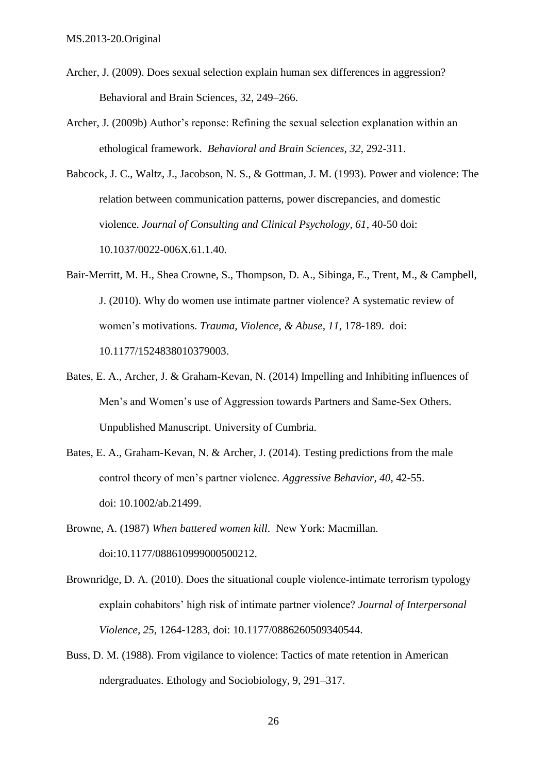- Archer, J. (2009). Does sexual selection explain human sex differences in aggression? Behavioral and Brain Sciences, 32, 249–266.
- Archer, J. (2009b) Author's reponse: Refining the sexual selection explanation within an ethological framework. *Behavioral and Brain Sciences, 32*, 292-311.

Babcock, J. C., Waltz, J., Jacobson, N. S., & Gottman, J. M. (1993). Power and violence: The relation between communication patterns, power discrepancies, and domestic violence. *Journal of Consulting and Clinical Psychology, 61*, 40-50 doi: 10.1037/0022-006X.61.1.40.

- Bair-Merritt, M. H., Shea Crowne, S., Thompson, D. A., Sibinga, E., Trent, M., & Campbell, J. (2010). Why do women use intimate partner violence? A systematic review of women's motivations. *Trauma, Violence, & Abuse, 11*, 178-189. doi: 10.1177/1524838010379003.
- Bates, E. A., Archer, J. & Graham-Kevan, N. (2014) Impelling and Inhibiting influences of Men's and Women's use of Aggression towards Partners and Same-Sex Others. Unpublished Manuscript. University of Cumbria.
- Bates, E. A., Graham-Kevan, N. & Archer, J. (2014). Testing predictions from the male control theory of men's partner violence. *Aggressive Behavior, 40*, 42-55. doi: 10.1002/ab.21499.
- Browne, A. (1987) *When battered women kill*. New York: Macmillan. [doi:10.1177/088610999000500212.](http://dx.doi.org/10.1177%2F088610999000500212)
- Brownridge, D. A. (2010). Does the situational couple violence-intimate terrorism typology explain cohabitors' high risk of intimate partner violence? *Journal of Interpersonal Violence, 25*, 1264-1283, doi: 10.1177/0886260509340544.
- Buss, D. M. (1988). From vigilance to violence: Tactics of mate retention in American ndergraduates. Ethology and Sociobiology, 9, 291–317.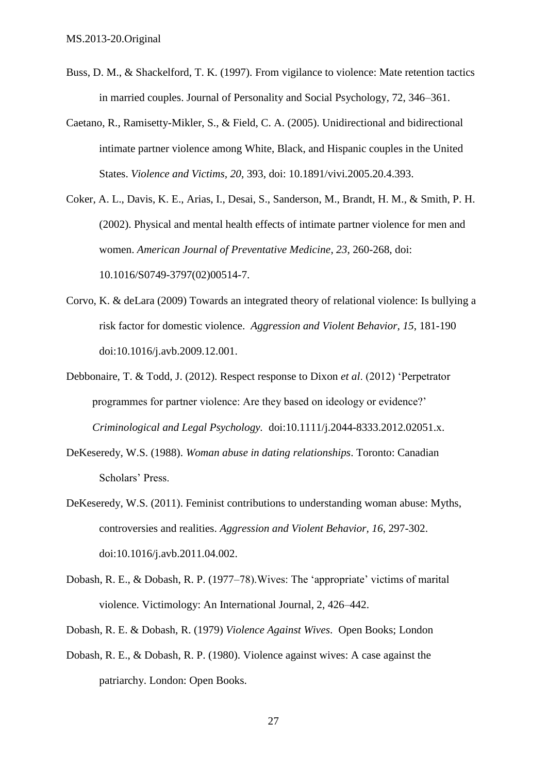- Buss, D. M., & Shackelford, T. K. (1997). From vigilance to violence: Mate retention tactics in married couples. Journal of Personality and Social Psychology, 72, 346–361.
- Caetano, R., Ramisetty-Mikler, S., & Field, C. A. (2005). Unidirectional and bidirectional intimate partner violence among White, Black, and Hispanic couples in the United States. *Violence and Victims, 20*, 393, doi: 10.1891/vivi.2005.20.4.393.
- Coker, A. L., Davis, K. E., Arias, I., Desai, S., Sanderson, M., Brandt, H. M., & Smith, P. H. (2002). Physical and mental health effects of intimate partner violence for men and women. *American Journal of Preventative Medicine*, *23*, 260-268, doi: 10.1016/S0749-3797(02)00514-7.
- Corvo, K. & deLara (2009) Towards an integrated theory of relational violence: Is bullying a risk factor for domestic violence. *Aggression and Violent Behavior, 15*, 181-190 [doi:10.1016/j.avb.2009.12.001.](http://dx.doi.org/10.1016%2Fj.avb.2009.12.001)
- Debbonaire, T. & Todd, J. (2012). Respect response to Dixon *et al*. (2012) 'Perpetrator programmes for partner violence: Are they based on ideology or evidence?' *Criminological and Legal Psychology.* [doi:10.1111/j.2044-8333.2012.02051.x.](http://dx.doi.org/10.1111%2Fj.2044-8333.2012.02051.x)
- DeKeseredy, W.S. (1988). *Woman abuse in dating relationships*. Toronto: Canadian Scholars' Press.
- DeKeseredy, W.S. (2011). Feminist contributions to understanding woman abuse: Myths, controversies and realities. *Aggression and Violent Behavior, 16*, 297-302. [doi:10.1016/j.avb.2011.04.002.](http://dx.doi.org/10.1016%2Fj.avb.2011.04.002)
- Dobash, R. E., & Dobash, R. P. (1977–78).Wives: The 'appropriate' victims of marital violence. Victimology: An International Journal, 2, 426–442.
- Dobash, R. E. & Dobash, R. (1979) *Violence Against Wives*. Open Books; London
- Dobash, R. E., & Dobash, R. P. (1980). Violence against wives: A case against the patriarchy. London: Open Books.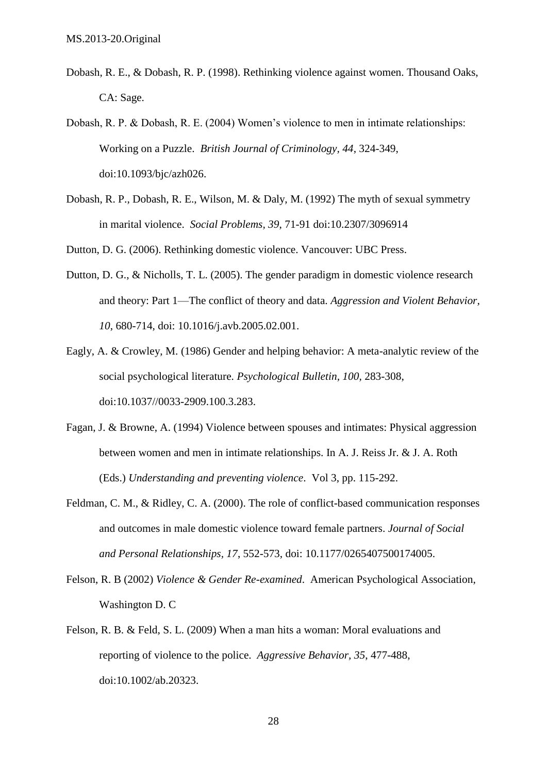- Dobash, R. E., & Dobash, R. P. (1998). Rethinking violence against women. Thousand Oaks, CA: Sage.
- Dobash, R. P. & Dobash, R. E. (2004) Women's violence to men in intimate relationships: Working on a Puzzle. *British Journal of Criminology, 44*, 324-349, [doi:10.1093/bjc/azh026.](http://dx.doi.org/10.1093%2Fbjc%2Fazh026)
- Dobash, R. P., Dobash, R. E., Wilson, M. & Daly, M. (1992) The myth of sexual symmetry in marital violence. *Social Problems, 39*, 71-91 doi:10.2307/3096914
- Dutton, D. G. (2006). Rethinking domestic violence. Vancouver: UBC Press.
- Dutton, D. G., & Nicholls, T. L. (2005). The gender paradigm in domestic violence research and theory: Part 1—The conflict of theory and data. *Aggression and Violent Behavior, 10*, 680-714, doi: 10.1016/j.avb.2005.02.001.
- Eagly, A. & Crowley, M. (1986) Gender and helping behavior: A meta-analytic review of the social psychological literature. *Psychological Bulletin, 100,* 283-308, [doi:10.1037//0033-2909.100.3.283.](http://dx.doi.org/10.1037%2F%2F0033-2909.100.3.283)
- Fagan, J. & Browne, A. (1994) Violence between spouses and intimates: Physical aggression between women and men in intimate relationships. In A. J. Reiss Jr. & J. A. Roth (Eds.) *Understanding and preventing violence*. Vol 3, pp. 115-292.
- Feldman, C. M., & Ridley, C. A. (2000). The role of conflict-based communication responses and outcomes in male domestic violence toward female partners. *Journal of Social and Personal Relationships, 17*, 552-573, doi: 10.1177/0265407500174005.
- Felson, R. B (2002) *Violence & Gender Re-examined*. American Psychological Association, Washington D. C
- Felson, R. B. & Feld, S. L. (2009) When a man hits a woman: Moral evaluations and reporting of violence to the police. *Aggressive Behavior, 35*, 477-488, [doi:10.1002/ab.20323.](http://dx.doi.org/10.1002%2Fab.20323)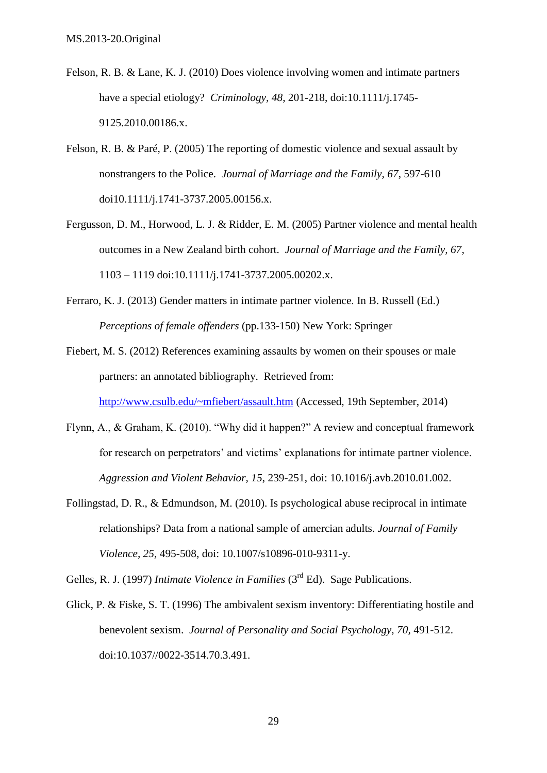- Felson, R. B. & Lane, K. J. (2010) Does violence involving women and intimate partners have a special etiology? *Criminology, 48*, 201-218, [doi:10.1111/j.1745-](http://dx.doi.org/10.1111%2Fj.1745-9125.2010.00186.x) [9125.2010.00186.x.](http://dx.doi.org/10.1111%2Fj.1745-9125.2010.00186.x)
- Felson, R. B. & Paré, P. (2005) The reporting of domestic violence and sexual assault by nonstrangers to the Police. *Journal of Marriage and the Family*, *67*, 597-610 doi10.1111/j.1741-3737.2005.00156.x.
- Fergusson, D. M., Horwood, L. J. & Ridder, E. M. (2005) Partner violence and mental health outcomes in a New Zealand birth cohort. *Journal of Marriage and the Family, 67*, 1103 – 1119 doi:10.1111/j.1741-3737.2005.00202.x.
- Ferraro, K. J. (2013) Gender matters in intimate partner violence. In B. Russell (Ed.) *Perceptions of female offenders* (pp.133-150) New York: Springer
- Fiebert, M. S. (2012) References examining assaults by women on their spouses or male partners: an annotated bibliography. Retrieved from:

<http://www.csulb.edu/~mfiebert/assault.htm> (Accessed, 19th September, 2014)

- Flynn, A., & Graham, K. (2010). "Why did it happen?" A review and conceptual framework for research on perpetrators' and victims' explanations for intimate partner violence. *Aggression and Violent Behavior, 15*, 239-251, doi: 10.1016/j.avb.2010.01.002.
- Follingstad, D. R., & Edmundson, M. (2010). Is psychological abuse reciprocal in intimate relationships? Data from a national sample of amercian adults. *Journal of Family Violence, 25,* 495-508, doi: 10.1007/s10896-010-9311-y.

Gelles, R. J. (1997) *Intimate Violence in Families* (3rd Ed). Sage Publications.

Glick, P. & Fiske, S. T. (1996) The ambivalent sexism inventory: Differentiating hostile and benevolent sexism. *Journal of Personality and Social Psychology, 70,* 491-512. [doi:10.1037//0022-3514.70.3.491.](http://dx.doi.org/10.1037%2F%2F0022-3514.70.3.491)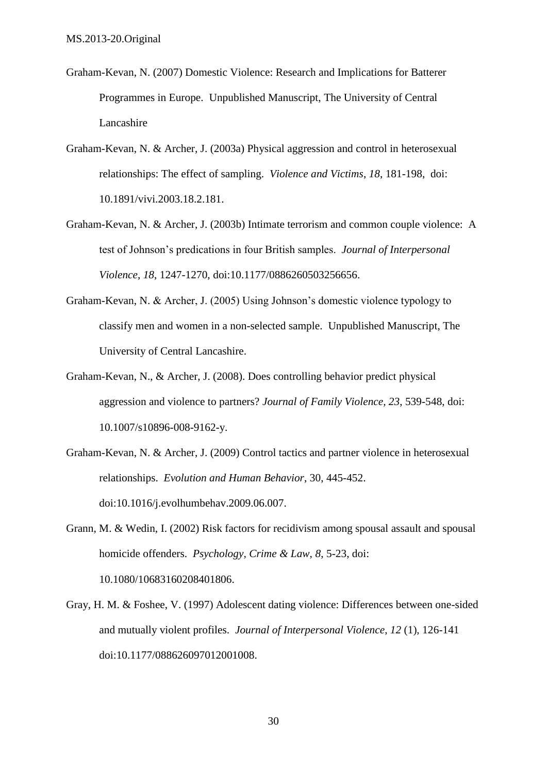- Graham-Kevan, N. (2007) Domestic Violence: Research and Implications for Batterer Programmes in Europe. Unpublished Manuscript, The University of Central Lancashire
- Graham-Kevan, N. & Archer, J. (2003a) Physical aggression and control in heterosexual relationships: The effect of sampling. *Violence and Victims*, *18*, 181-198, doi: 10.1891/vivi.2003.18.2.181.
- Graham-Kevan, N. & Archer, J. (2003b) Intimate terrorism and common couple violence: A test of Johnson's predications in four British samples. *Journal of Interpersonal Violence*, *18*, 1247-1270, doi:10.1177/0886260503256656.
- Graham-Kevan, N. & Archer, J. (2005) Using Johnson's domestic violence typology to classify men and women in a non-selected sample. Unpublished Manuscript, The University of Central Lancashire.
- Graham-Kevan, N., & Archer, J. (2008). Does controlling behavior predict physical aggression and violence to partners? *Journal of Family Violence, 23*, 539-548, doi: 10.1007/s10896-008-9162-y.
- Graham-Kevan, N. & Archer, J. (2009) Control tactics and partner violence in heterosexual relationships. *Evolution and Human Behavior*, 30, 445-452. [doi:10.1016/j.evolhumbehav.2009.06.007.](http://dx.doi.org/10.1016%2Fj.evolhumbehav.2009.06.007)
- Grann, M. & Wedin, I. (2002) Risk factors for recidivism among spousal assault and spousal homicide offenders. *Psychology, Crime & Law, 8*, 5-23, doi: 10.1080/10683160208401806.
- Gray, H. M. & Foshee, V. (1997) Adolescent dating violence: Differences between one-sided and mutually violent profiles. *Journal of Interpersonal Violence*, *12* (1), 126-141 doi:10.1177/088626097012001008.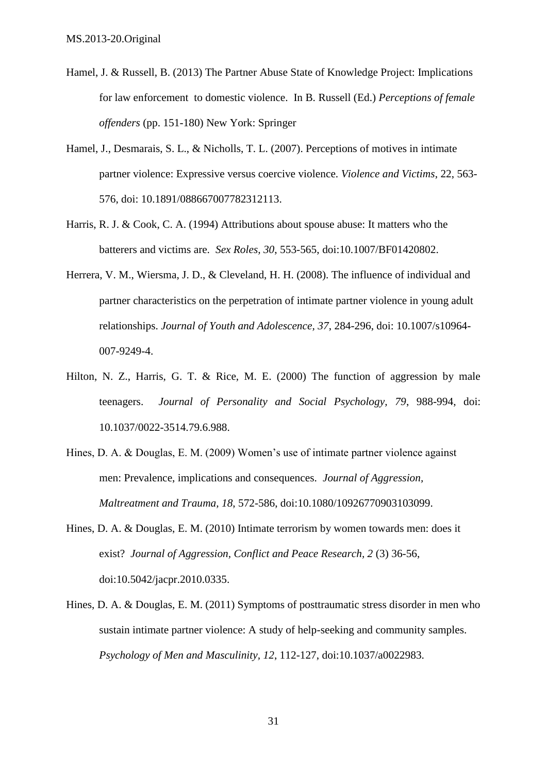- Hamel, J. & Russell, B. (2013) The Partner Abuse State of Knowledge Project: Implications for law enforcement to domestic violence. In B. Russell (Ed.) *Perceptions of female offenders* (pp. 151-180) New York: Springer
- Hamel, J., Desmarais, S. L., & Nicholls, T. L. (2007). Perceptions of motives in intimate partner violence: Expressive versus coercive violence. *Violence and Victims*, 22, 563- 576, doi: 10.1891/088667007782312113.
- Harris, R. J. & Cook, C. A. (1994) Attributions about spouse abuse: It matters who the batterers and victims are. *Sex Roles, 30*, 553-565, [doi:10.1007/BF01420802.](http://dx.doi.org/10.1007%2FBF01420802)
- Herrera, V. M., Wiersma, J. D., & Cleveland, H. H. (2008). The influence of individual and partner characteristics on the perpetration of intimate partner violence in young adult relationships. *Journal of Youth and Adolescence, 37*, 284-296, doi: 10.1007/s10964- 007-9249-4.
- Hilton, N. Z., Harris, G. T. & Rice, M. E. (2000) The function of aggression by male teenagers. *Journal of Personality and Social Psychology, 79*, 988-994, doi: 10.1037/0022-3514.79.6.988.
- Hines, D. A. & Douglas, E. M. (2009) Women's use of intimate partner violence against men: Prevalence, implications and consequences. *Journal of Aggression, Maltreatment and Trauma, 18*, 572-586, doi:10.1080/10926770903103099.
- Hines, D. A. & Douglas, E. M. (2010) Intimate terrorism by women towards men: does it exist? *Journal of Aggression, Conflict and Peace Research, 2* (3) 36-56, [doi:10.5042/jacpr.2010.0335.](http://dx.doi.org/10.5042%2Fjacpr.2010.0335)
- Hines, D. A. & Douglas, E. M. (2011) Symptoms of posttraumatic stress disorder in men who sustain intimate partner violence: A study of help-seeking and community samples. *Psychology of Men and Masculinity, 12*, 112-127, doi:10.1037/a0022983.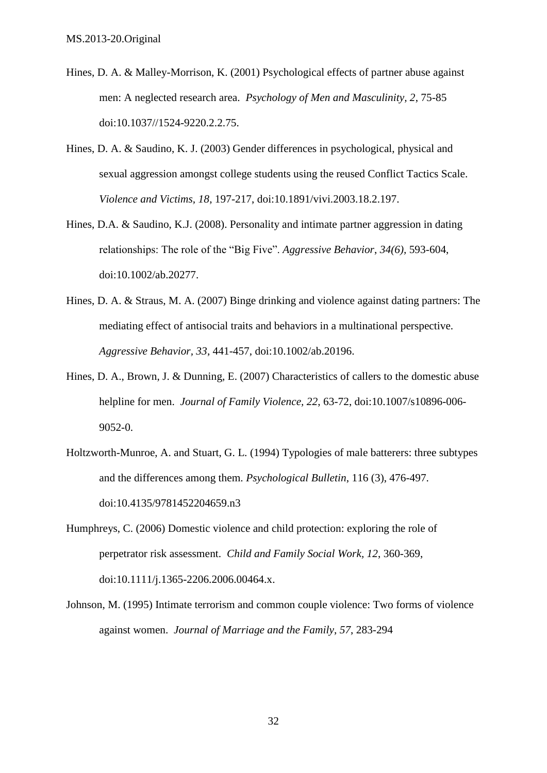- Hines, D. A. & Malley-Morrison, K. (2001) Psychological effects of partner abuse against men: A neglected research area. *Psychology of Men and Masculinity, 2*, 75-85 doi:10.1037//1524-9220.2.2.75.
- Hines, D. A. & Saudino, K. J. (2003) Gender differences in psychological, physical and sexual aggression amongst college students using the reused Conflict Tactics Scale. *Violence and Victims, 18*, 197-217, doi:10.1891/vivi.2003.18.2.197.
- Hines, D.A. & Saudino, K.J. (2008). Personality and intimate partner aggression in dating relationships: The role of the "Big Five". *Aggressive Behavior*, *34(6),* 593-604, doi:10.1002/ab.20277.
- Hines, D. A. & Straus, M. A. (2007) Binge drinking and violence against dating partners: The mediating effect of antisocial traits and behaviors in a multinational perspective. *Aggressive Behavior, 33*, 441-457, doi:10.1002/ab.20196.
- Hines, D. A., Brown, J. & Dunning, E. (2007) Characteristics of callers to the domestic abuse helpline for men. *Journal of Family Violence, 22*, 63-72, [doi:10.1007/s10896-006-](http://dx.doi.org/10.1007%2Fs10896-006-9052-0) [9052-0.](http://dx.doi.org/10.1007%2Fs10896-006-9052-0)
- Holtzworth-Munroe, A. and Stuart, G. L. (1994) Typologies of male batterers: three subtypes and the differences among them. *Psychological Bulletin*, 116 (3), 476-497. doi:10.4135/9781452204659.n3
- Humphreys, C. (2006) Domestic violence and child protection: exploring the role of perpetrator risk assessment. *Child and Family Social Work, 12*, 360-369, doi:10.1111/j.1365-2206.2006.00464.x.
- Johnson, M. (1995) Intimate terrorism and common couple violence: Two forms of violence against women. *Journal of Marriage and the Family*, *57*, 283-294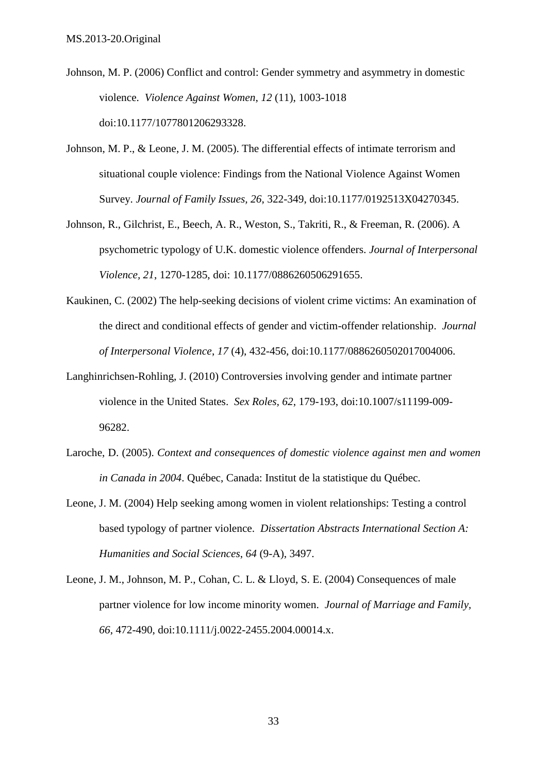- Johnson, M. P. (2006) Conflict and control: Gender symmetry and asymmetry in domestic violence. *Violence Against Women*, *12* (11), 1003-1018 doi:10.1177/1077801206293328.
- Johnson, M. P., & Leone, J. M. (2005). The differential effects of intimate terrorism and situational couple violence: Findings from the National Violence Against Women Survey. *Journal of Family Issues, 26*, 322-349, doi:10.1177/0192513X04270345.
- Johnson, R., Gilchrist, E., Beech, A. R., Weston, S., Takriti, R., & Freeman, R. (2006). A psychometric typology of U.K. domestic violence offenders. *Journal of Interpersonal Violence, 21*, 1270-1285, doi: 10.1177/0886260506291655.
- Kaukinen, C. (2002) The help-seeking decisions of violent crime victims: An examination of the direct and conditional effects of gender and victim-offender relationship. *Journal of Interpersonal Violence*, *17* (4), 432-456, doi:10.1177/0886260502017004006.
- Langhinrichsen-Rohling, J. (2010) Controversies involving gender and intimate partner violence in the United States. *Sex Roles, 62*, 179-193, doi:10.1007/s11199-009- 96282.
- Laroche, D. (2005). *Context and consequences of domestic violence against men and women in Canada in 2004*. Québec, Canada: Institut de la statistique du Québec.
- Leone, J. M. (2004) Help seeking among women in violent relationships: Testing a control based typology of partner violence. *Dissertation Abstracts International Section A: Humanities and Social Sciences*, *64* (9-A), 3497.
- Leone, J. M., Johnson, M. P., Cohan, C. L. & Lloyd, S. E. (2004) Consequences of male partner violence for low income minority women. *Journal of Marriage and Family, 66*, 472-490, doi:10.1111/j.0022-2455.2004.00014.x.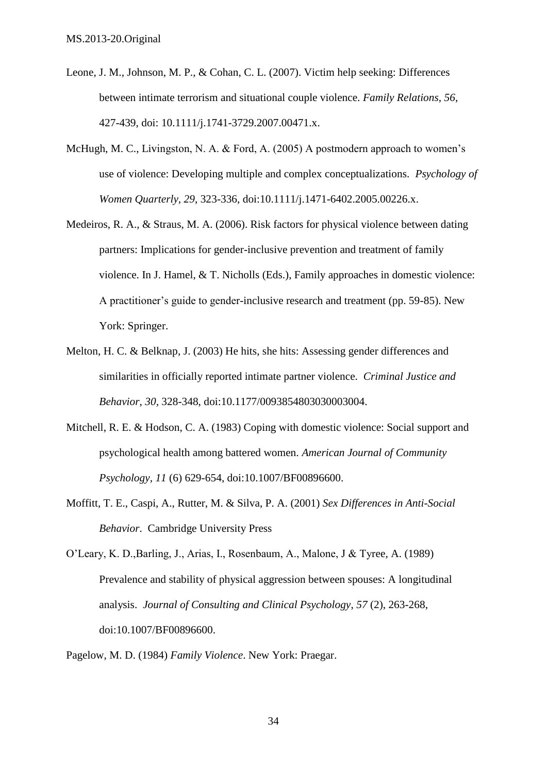- Leone, J. M., Johnson, M. P., & Cohan, C. L. (2007). Victim help seeking: Differences between intimate terrorism and situational couple violence. *Family Relations, 56*, 427-439, doi: 10.1111/j.1741-3729.2007.00471.x.
- McHugh, M. C., Livingston, N. A. & Ford, A. (2005) A postmodern approach to women's use of violence: Developing multiple and complex conceptualizations. *Psychology of Women Quarterly, 29*, 323-336, [doi:10.1111/j.1471-6402.2005.00226.x.](http://dx.doi.org/10.1111%2Fj.1471-6402.2005.00226.x)
- Medeiros, R. A., & Straus, M. A. (2006). Risk factors for physical violence between dating partners: Implications for gender-inclusive prevention and treatment of family violence. In J. Hamel, & T. Nicholls (Eds.), Family approaches in domestic violence: A practitioner's guide to gender-inclusive research and treatment (pp. 59-85). New York: Springer.
- Melton, H. C. & Belknap, J. (2003) He hits, she hits: Assessing gender differences and similarities in officially reported intimate partner violence. *Criminal Justice and Behavior, 30,* 328-348, doi:10.1177/0093854803030003004.
- Mitchell, R. E. & Hodson, C. A. (1983) Coping with domestic violence: Social support and psychological health among battered women. *American Journal of Community Psychology, 11* (6) 629-654, doi:10.1007/BF00896600.
- Moffitt, T. E., Caspi, A., Rutter, M. & Silva, P. A. (2001) *Sex Differences in Anti-Social Behavior*. Cambridge University Press

O'Leary, K. D.,Barling, J., Arias, I., Rosenbaum, A., Malone, J & Tyree, A. (1989) Prevalence and stability of physical aggression between spouses: A longitudinal analysis. *Journal of Consulting and Clinical Psychology*, *57* (2), 263-268, doi:10.1007/BF00896600.

Pagelow, M. D. (1984) *Family Violence*. New York: Praegar.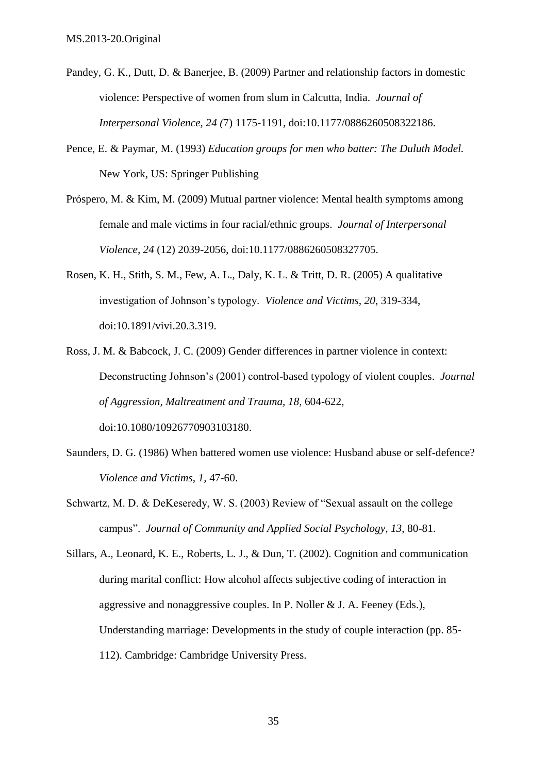- Pandey, G. K., Dutt, D. & Banerjee, B. (2009) Partner and relationship factors in domestic violence: Perspective of women from slum in Calcutta, India. *Journal of Interpersonal Violence, 24 (*7) 1175-1191, doi:10.1177/0886260508322186.
- Pence, E. & Paymar, M. (1993) *Education groups for men who batter: The Duluth Model.*  New York, US: Springer Publishing
- Próspero, M. & Kim, M. (2009) Mutual partner violence: Mental health symptoms among female and male victims in four racial/ethnic groups. *Journal of Interpersonal Violence, 24* (12) 2039-2056, doi:10.1177/0886260508327705.
- Rosen, K. H., Stith, S. M., Few, A. L., Daly, K. L. & Tritt, D. R. (2005) A qualitative investigation of Johnson's typology. *Violence and Victims, 20*, 319-334, doi:10.1891/vivi.20.3.319.
- Ross, J. M. & Babcock, J. C. (2009) Gender differences in partner violence in context: Deconstructing Johnson's (2001) control-based typology of violent couples. *Journal of Aggression, Maltreatment and Trauma, 18,* 604-622, doi:10.1080/10926770903103180.
- Saunders, D. G. (1986) When battered women use violence: Husband abuse or self-defence? *Violence and Victims, 1,* 47-60.
- Schwartz, M. D. & DeKeseredy, W. S. (2003) Review of "Sexual assault on the college campus". *Journal of Community and Applied Social Psychology, 13*, 80-81.
- Sillars, A., Leonard, K. E., Roberts, L. J., & Dun, T. (2002). Cognition and communication during marital conflict: How alcohol affects subjective coding of interaction in aggressive and nonaggressive couples. In P. Noller & J. A. Feeney (Eds.), Understanding marriage: Developments in the study of couple interaction (pp. 85- 112). Cambridge: Cambridge University Press.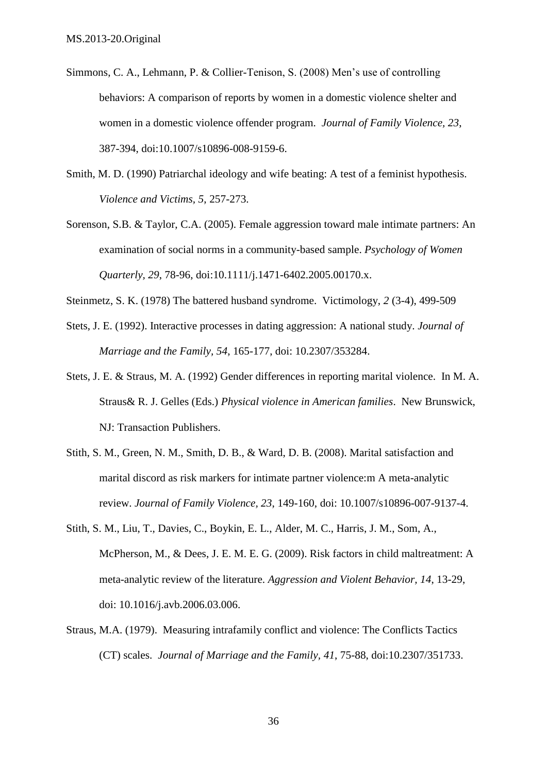- Simmons, C. A., Lehmann, P. & Collier-Tenison, S. (2008) Men's use of controlling behaviors: A comparison of reports by women in a domestic violence shelter and women in a domestic violence offender program. *Journal of Family Violence, 23*, 387-394, doi:10.1007/s10896-008-9159-6.
- Smith, M. D. (1990) Patriarchal ideology and wife beating: A test of a feminist hypothesis. *Violence and Victims, 5*, 257-273.
- Sorenson, S.B. & Taylor, C.A. (2005). Female aggression toward male intimate partners: An examination of social norms in a community-based sample. *Psychology of Women Quarterly, 29*, 78-96, [doi:10.1111/j.1471-6402.2005.00170.x.](http://dx.doi.org/10.1111%2Fj.1471-6402.2005.00170.x)
- Steinmetz, S. K. (1978) The battered husband syndrome. Victimology, *2* (3-4), 499-509
- Stets, J. E. (1992). Interactive processes in dating aggression: A national study. *Journal of Marriage and the Family, 54*, 165-177, doi: 10.2307/353284.
- Stets, J. E. & Straus, M. A. (1992) Gender differences in reporting marital violence. In M. A. Straus& R. J. Gelles (Eds.) *Physical violence in American families*. New Brunswick, NJ: Transaction Publishers.
- Stith, S. M., Green, N. M., Smith, D. B., & Ward, D. B. (2008). Marital satisfaction and marital discord as risk markers for intimate partner violence:m A meta-analytic review. *Journal of Family Violence, 23*, 149-160, doi: 10.1007/s10896-007-9137-4.
- Stith, S. M., Liu, T., Davies, C., Boykin, E. L., Alder, M. C., Harris, J. M., Som, A., McPherson, M., & Dees, J. E. M. E. G. (2009). Risk factors in child maltreatment: A meta-analytic review of the literature. *Aggression and Violent Behavior, 14*, 13-29, doi: 10.1016/j.avb.2006.03.006.
- Straus, M.A. (1979). Measuring intrafamily conflict and violence: The Conflicts Tactics (CT) scales. *Journal of Marriage and the Family, 41*, 75-88, doi:10.2307/351733.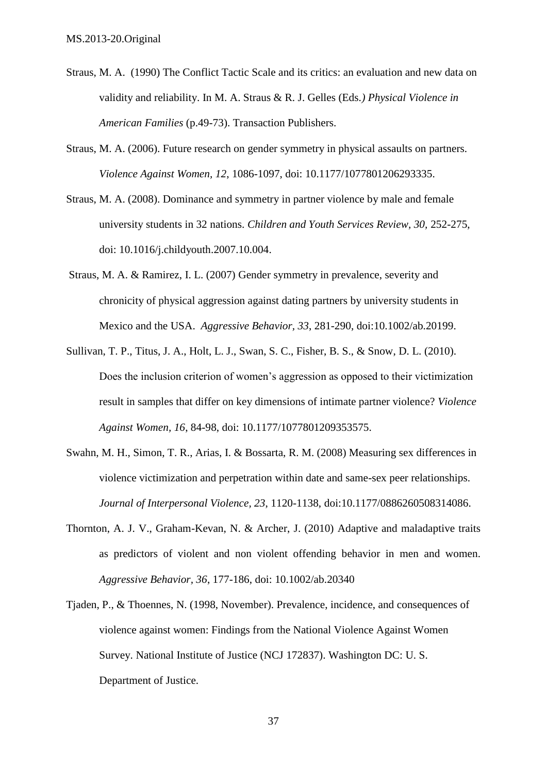- Straus, M. A. (1990) The Conflict Tactic Scale and its critics: an evaluation and new data on validity and reliability. In M. A. Straus & R. J. Gelles (Eds*.) Physical Violence in American Families* (p.49-73). Transaction Publishers.
- Straus, M. A. (2006). Future research on gender symmetry in physical assaults on partners. *Violence Against Women, 12*, 1086-1097, doi: 10.1177/1077801206293335.
- Straus, M. A. (2008). Dominance and symmetry in partner violence by male and female university students in 32 nations. *Children and Youth Services Review, 30,* 252-275, doi: 10.1016/j.childyouth.2007.10.004.
- Straus, M. A. & Ramirez, I. L. (2007) Gender symmetry in prevalence, severity and chronicity of physical aggression against dating partners by university students in Mexico and the USA. *Aggressive Behavior, 33*, 281-290, [doi:10.1002/ab.20199.](http://dx.doi.org/10.1002%2Fab.20199)
- Sullivan, T. P., Titus, J. A., Holt, L. J., Swan, S. C., Fisher, B. S., & Snow, D. L. (2010). Does the inclusion criterion of women's aggression as opposed to their victimization result in samples that differ on key dimensions of intimate partner violence? *Violence Against Women, 16*, 84-98, doi: 10.1177/1077801209353575.
- Swahn, M. H., Simon, T. R., Arias, I. & Bossarta, R. M. (2008) Measuring sex differences in violence victimization and perpetration within date and same-sex peer relationships. *Journal of Interpersonal Violence, 23*, 1120-1138, [doi:10.1177/0886260508314086.](http://dx.doi.org/10.1177%2F0886260508314086)
- Thornton, A. J. V., Graham-Kevan, N. & Archer, J. (2010) Adaptive and maladaptive traits as predictors of violent and non violent offending behavior in men and women. *Aggressive Behavior, 36*, 177-186, doi: 10.1002/ab.20340
- Tjaden, P., & Thoennes, N. (1998, November). Prevalence, incidence, and consequences of violence against women: Findings from the National Violence Against Women Survey. National Institute of Justice (NCJ 172837). Washington DC: U. S. Department of Justice.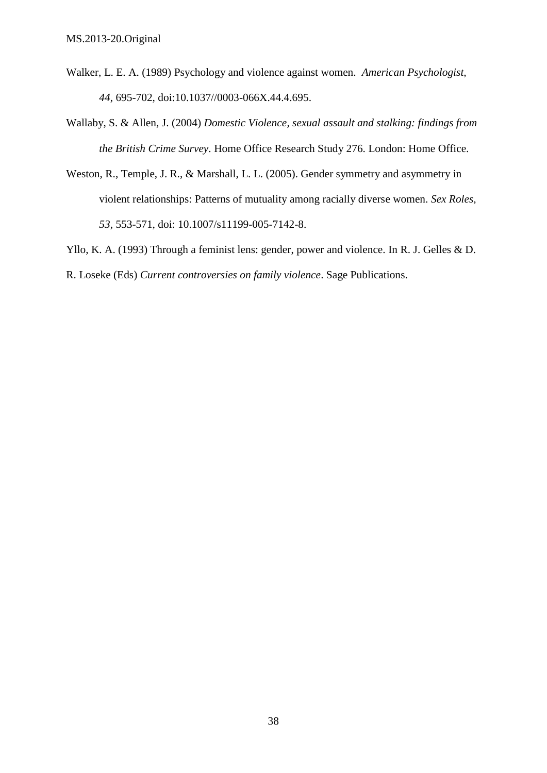- Walker, L. E. A. (1989) Psychology and violence against women. *American Psychologist, 44*, 695-702, [doi:10.1037//0003-066X.44.4.695.](http://dx.doi.org/10.1037%2F%2F0003-066X.44.4.695)
- Wallaby, S. & Allen, J. (2004) *Domestic Violence, sexual assault and stalking: findings from the British Crime Survey*. Home Office Research Study 276. London: Home Office.
- Weston, R., Temple, J. R., & Marshall, L. L. (2005). Gender symmetry and asymmetry in violent relationships: Patterns of mutuality among racially diverse women. *Sex Roles, 53*, 553-571, doi: 10.1007/s11199-005-7142-8.
- Yllo, K. A. (1993) Through a feminist lens: gender, power and violence. In R. J. Gelles & D.

R. Loseke (Eds) *Current controversies on family violence*. Sage Publications.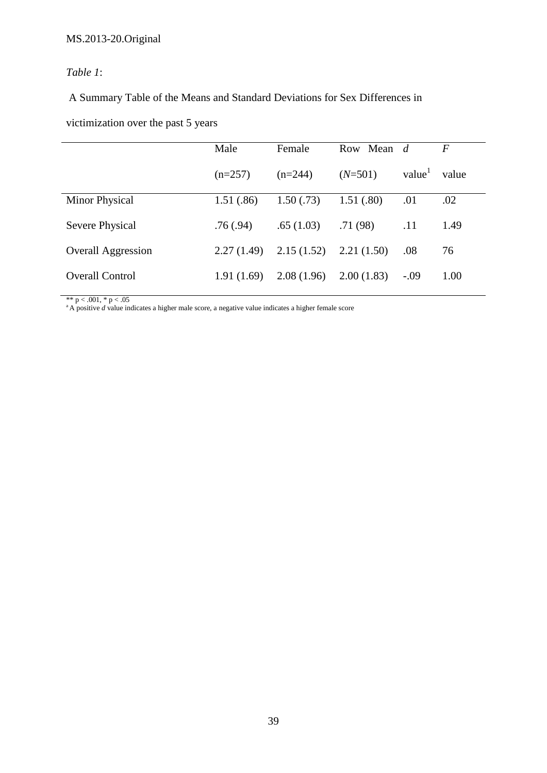## *Table 1*:

A Summary Table of the Means and Standard Deviations for Sex Differences in

victimization over the past 5 years

|                           | Male       | Female     | Row Mean d |        | $\overline{F}$ |
|---------------------------|------------|------------|------------|--------|----------------|
|                           | $(n=257)$  | $(n=244)$  | $(N=501)$  | value  | value          |
| Minor Physical            | 1.51(.86)  | 1.50(.73)  | 1.51(.80)  | .01    | .02            |
| Severe Physical           | .76(.94)   | .65(1.03)  | .71(98)    | .11    | 1.49           |
| <b>Overall Aggression</b> | 2.27(1.49) | 2.15(1.52) | 2.21(1.50) | .08    | 76             |
| <b>Overall Control</b>    | 1.91(1.69) | 2.08(1.96) | 2.00(1.83) | $-.09$ | 1.00           |

\*\* p < .001, \* p < .05 <sup>a</sup>A positive *<sup>d</sup>* value indicates a higher male score, a negative value indicates a higher female score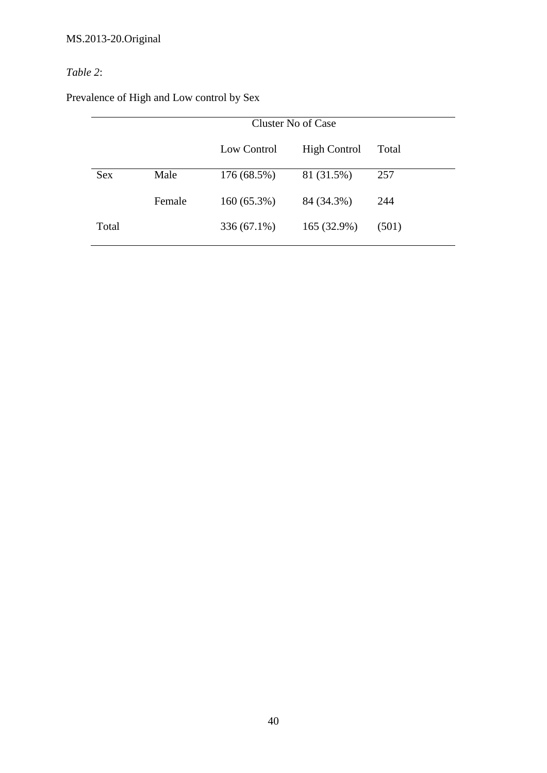# *Table 2*:

| Prevalence of High and Low control by Sex |  |  |  |
|-------------------------------------------|--|--|--|
|                                           |  |  |  |

|            |        | Cluster No of Case |                     |       |  |
|------------|--------|--------------------|---------------------|-------|--|
|            |        | Low Control        | <b>High Control</b> | Total |  |
| <b>Sex</b> | Male   | 176 (68.5%)        | 81 (31.5%)          | 257   |  |
|            | Female | $160(65.3\%)$      | 84 (34.3%)          | 244   |  |
| Total      |        | 336 (67.1%)        | 165 (32.9%)         | (501) |  |
|            |        |                    |                     |       |  |